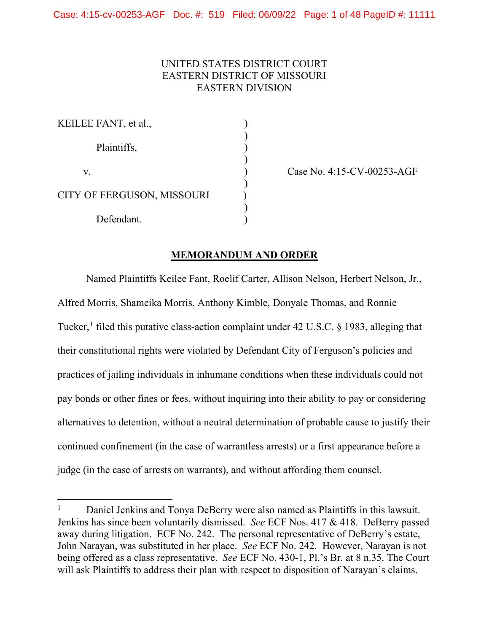# UNITED STATES DISTRICT COURT EASTERN DISTRICT OF MISSOURI EASTERN DIVISION

| KEILEE FANT, et al.,       |  |
|----------------------------|--|
| Plaintiffs,                |  |
| V.                         |  |
| CITY OF FERGUSON, MISSOURI |  |
| Defendant.                 |  |

Case No. 4:15-CV-00253-AGF

# **MEMORANDUM AND ORDER**

Named Plaintiffs Keilee Fant, Roelif Carter, Allison Nelson, Herbert Nelson, Jr., Alfred Morris, Shameika Morris, Anthony Kimble, Donyale Thomas, and Ronnie Tucker,<sup>[1](#page-0-0)</sup> filed this putative class-action complaint under 42 U.S.C. § 1983, alleging that their constitutional rights were violated by Defendant City of Ferguson's policies and practices of jailing individuals in inhumane conditions when these individuals could not pay bonds or other fines or fees, without inquiring into their ability to pay or considering alternatives to detention, without a neutral determination of probable cause to justify their continued confinement (in the case of warrantless arrests) or a first appearance before a judge (in the case of arrests on warrants), and without affording them counsel.

<span id="page-0-0"></span><sup>&</sup>lt;sup>1</sup> Daniel Jenkins and Tonya DeBerry were also named as Plaintiffs in this lawsuit. Jenkins has since been voluntarily dismissed. *See* ECF Nos. 417 & 418. DeBerry passed away during litigation. ECF No. 242. The personal representative of DeBerry's estate, John Narayan, was substituted in her place. *See* ECF No. 242. However, Narayan is not being offered as a class representative. *See* ECF No. 430-1, Pl.'s Br. at 8 n.35. The Court will ask Plaintiffs to address their plan with respect to disposition of Narayan's claims.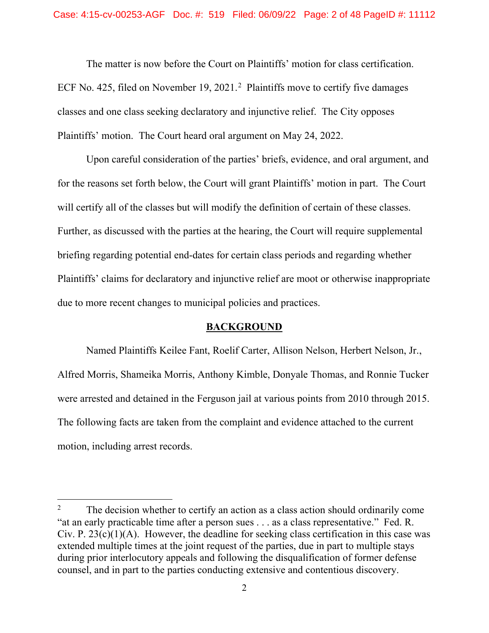The matter is now before the Court on Plaintiffs' motion for class certification. ECF No. 4[2](#page-1-0)5, filed on November 19, 2021.<sup>2</sup> Plaintiffs move to certify five damages classes and one class seeking declaratory and injunctive relief. The City opposes Plaintiffs' motion. The Court heard oral argument on May 24, 2022.

Upon careful consideration of the parties' briefs, evidence, and oral argument, and for the reasons set forth below, the Court will grant Plaintiffs' motion in part. The Court will certify all of the classes but will modify the definition of certain of these classes. Further, as discussed with the parties at the hearing, the Court will require supplemental briefing regarding potential end-dates for certain class periods and regarding whether Plaintiffs' claims for declaratory and injunctive relief are moot or otherwise inappropriate due to more recent changes to municipal policies and practices.

## **BACKGROUND**

Named Plaintiffs Keilee Fant, Roelif Carter, Allison Nelson, Herbert Nelson, Jr., Alfred Morris, Shameika Morris, Anthony Kimble, Donyale Thomas, and Ronnie Tucker were arrested and detained in the Ferguson jail at various points from 2010 through 2015. The following facts are taken from the complaint and evidence attached to the current motion, including arrest records.

<span id="page-1-0"></span><sup>&</sup>lt;sup>2</sup> The decision whether to certify an action as a class action should ordinarily come "at an early practicable time after a person sues . . . as a class representative." Fed. R. Civ. P.  $23(c)(1)(A)$ . However, the deadline for seeking class certification in this case was extended multiple times at the joint request of the parties, due in part to multiple stays during prior interlocutory appeals and following the disqualification of former defense counsel, and in part to the parties conducting extensive and contentious discovery.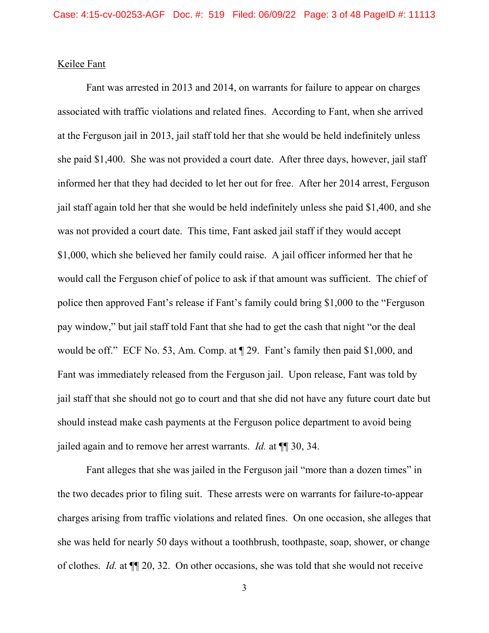# Keilee Fant

Fant was arrested in 2013 and 2014, on warrants for failure to appear on charges associated with traffic violations and related fines. According to Fant, when she arrived at the Ferguson jail in 2013, jail staff told her that she would be held indefinitely unless she paid \$1,400. She was not provided a court date. After three days, however, jail staff informed her that they had decided to let her out for free. After her 2014 arrest, Ferguson jail staff again told her that she would be held indefinitely unless she paid \$1,400, and she was not provided a court date. This time, Fant asked jail staff if they would accept \$1,000, which she believed her family could raise. A jail officer informed her that he would call the Ferguson chief of police to ask if that amount was sufficient. The chief of police then approved Fant's release if Fant's family could bring \$1,000 to the "Ferguson pay window," but jail staff told Fant that she had to get the cash that night "or the deal would be off." ECF No. 53, Am. Comp. at ¶ 29. Fant's family then paid \$1,000, and Fant was immediately released from the Ferguson jail. Upon release, Fant was told by jail staff that she should not go to court and that she did not have any future court date but should instead make cash payments at the Ferguson police department to avoid being jailed again and to remove her arrest warrants. *Id.* at ¶¶ 30, 34.

Fant alleges that she was jailed in the Ferguson jail "more than a dozen times" in the two decades prior to filing suit. These arrests were on warrants for failure-to-appear charges arising from traffic violations and related fines. On one occasion, she alleges that she was held for nearly 50 days without a toothbrush, toothpaste, soap, shower, or change of clothes. *Id.* at ¶¶ 20, 32. On other occasions, she was told that she would not receive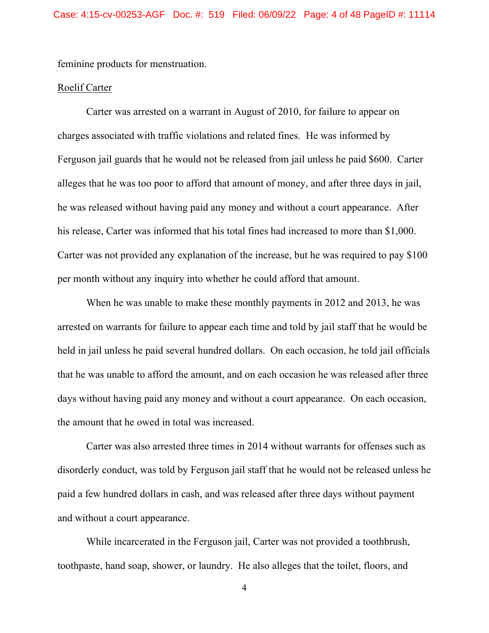feminine products for menstruation.

### Roelif Carter

Carter was arrested on a warrant in August of 2010, for failure to appear on charges associated with traffic violations and related fines. He was informed by Ferguson jail guards that he would not be released from jail unless he paid \$600. Carter alleges that he was too poor to afford that amount of money, and after three days in jail, he was released without having paid any money and without a court appearance. After his release, Carter was informed that his total fines had increased to more than \$1,000. Carter was not provided any explanation of the increase, but he was required to pay \$100 per month without any inquiry into whether he could afford that amount.

When he was unable to make these monthly payments in 2012 and 2013, he was arrested on warrants for failure to appear each time and told by jail staff that he would be held in jail unless he paid several hundred dollars. On each occasion, he told jail officials that he was unable to afford the amount, and on each occasion he was released after three days without having paid any money and without a court appearance. On each occasion, the amount that he owed in total was increased.

Carter was also arrested three times in 2014 without warrants for offenses such as disorderly conduct, was told by Ferguson jail staff that he would not be released unless he paid a few hundred dollars in cash, and was released after three days without payment and without a court appearance.

While incarcerated in the Ferguson jail, Carter was not provided a toothbrush, toothpaste, hand soap, shower, or laundry. He also alleges that the toilet, floors, and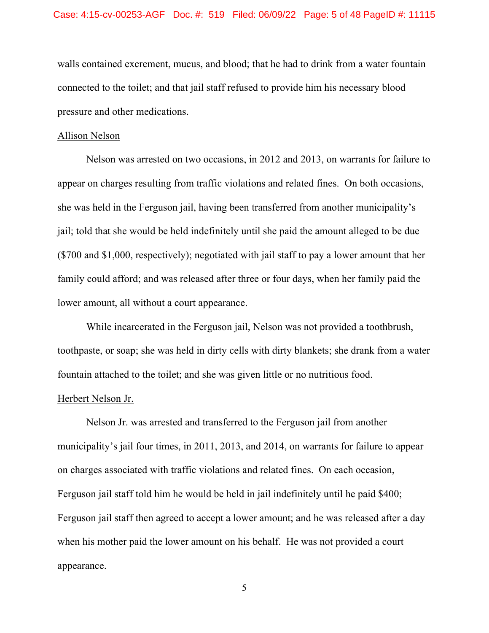walls contained excrement, mucus, and blood; that he had to drink from a water fountain connected to the toilet; and that jail staff refused to provide him his necessary blood pressure and other medications.

#### Allison Nelson

Nelson was arrested on two occasions, in 2012 and 2013, on warrants for failure to appear on charges resulting from traffic violations and related fines. On both occasions, she was held in the Ferguson jail, having been transferred from another municipality's jail; told that she would be held indefinitely until she paid the amount alleged to be due (\$700 and \$1,000, respectively); negotiated with jail staff to pay a lower amount that her family could afford; and was released after three or four days, when her family paid the lower amount, all without a court appearance.

While incarcerated in the Ferguson jail, Nelson was not provided a toothbrush, toothpaste, or soap; she was held in dirty cells with dirty blankets; she drank from a water fountain attached to the toilet; and she was given little or no nutritious food.

# Herbert Nelson Jr.

Nelson Jr. was arrested and transferred to the Ferguson jail from another municipality's jail four times, in 2011, 2013, and 2014, on warrants for failure to appear on charges associated with traffic violations and related fines. On each occasion, Ferguson jail staff told him he would be held in jail indefinitely until he paid \$400; Ferguson jail staff then agreed to accept a lower amount; and he was released after a day when his mother paid the lower amount on his behalf. He was not provided a court appearance.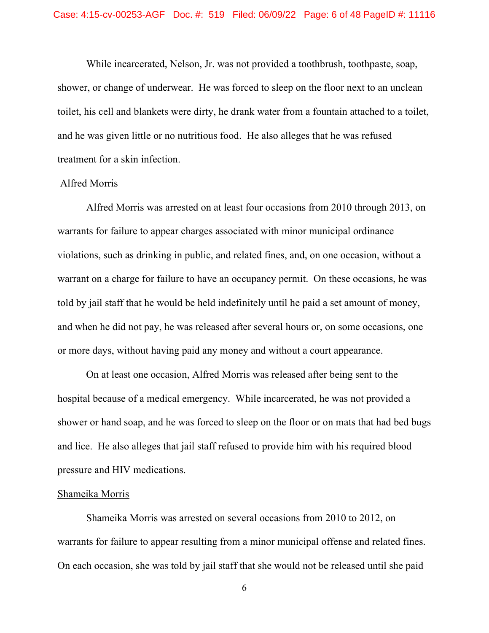While incarcerated, Nelson, Jr. was not provided a toothbrush, toothpaste, soap, shower, or change of underwear. He was forced to sleep on the floor next to an unclean toilet, his cell and blankets were dirty, he drank water from a fountain attached to a toilet, and he was given little or no nutritious food. He also alleges that he was refused treatment for a skin infection.

#### Alfred Morris

Alfred Morris was arrested on at least four occasions from 2010 through 2013, on warrants for failure to appear charges associated with minor municipal ordinance violations, such as drinking in public, and related fines, and, on one occasion, without a warrant on a charge for failure to have an occupancy permit. On these occasions, he was told by jail staff that he would be held indefinitely until he paid a set amount of money, and when he did not pay, he was released after several hours or, on some occasions, one or more days, without having paid any money and without a court appearance.

On at least one occasion, Alfred Morris was released after being sent to the hospital because of a medical emergency. While incarcerated, he was not provided a shower or hand soap, and he was forced to sleep on the floor or on mats that had bed bugs and lice. He also alleges that jail staff refused to provide him with his required blood pressure and HIV medications.

#### Shameika Morris

Shameika Morris was arrested on several occasions from 2010 to 2012, on warrants for failure to appear resulting from a minor municipal offense and related fines. On each occasion, she was told by jail staff that she would not be released until she paid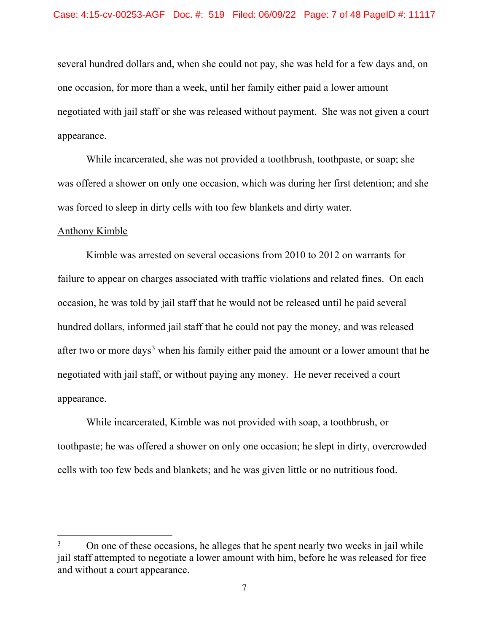several hundred dollars and, when she could not pay, she was held for a few days and, on one occasion, for more than a week, until her family either paid a lower amount negotiated with jail staff or she was released without payment. She was not given a court appearance.

While incarcerated, she was not provided a toothbrush, toothpaste, or soap; she was offered a shower on only one occasion, which was during her first detention; and she was forced to sleep in dirty cells with too few blankets and dirty water.

#### Anthony Kimble

Kimble was arrested on several occasions from 2010 to 2012 on warrants for failure to appear on charges associated with traffic violations and related fines. On each occasion, he was told by jail staff that he would not be released until he paid several hundred dollars, informed jail staff that he could not pay the money, and was released after two or more days<sup>[3](#page-6-0)</sup> when his family either paid the amount or a lower amount that he negotiated with jail staff, or without paying any money. He never received a court appearance.

While incarcerated, Kimble was not provided with soap, a toothbrush, or toothpaste; he was offered a shower on only one occasion; he slept in dirty, overcrowded cells with too few beds and blankets; and he was given little or no nutritious food.

<span id="page-6-0"></span> $3$  On one of these occasions, he alleges that he spent nearly two weeks in jail while jail staff attempted to negotiate a lower amount with him, before he was released for free and without a court appearance.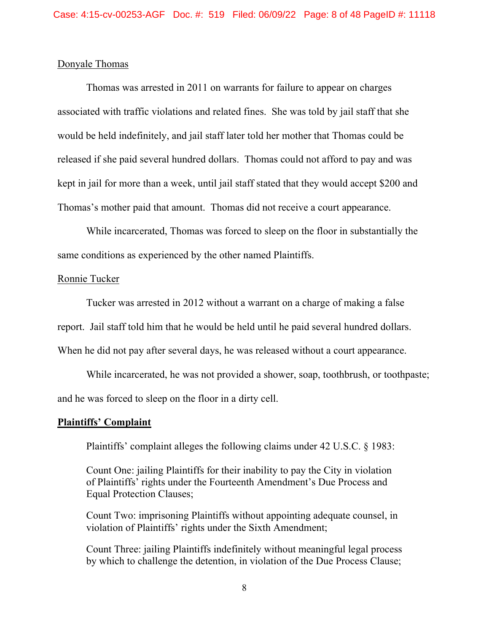## Donyale Thomas

Thomas was arrested in 2011 on warrants for failure to appear on charges associated with traffic violations and related fines. She was told by jail staff that she would be held indefinitely, and jail staff later told her mother that Thomas could be released if she paid several hundred dollars. Thomas could not afford to pay and was kept in jail for more than a week, until jail staff stated that they would accept \$200 and Thomas's mother paid that amount. Thomas did not receive a court appearance.

While incarcerated, Thomas was forced to sleep on the floor in substantially the same conditions as experienced by the other named Plaintiffs.

#### Ronnie Tucker

Tucker was arrested in 2012 without a warrant on a charge of making a false report. Jail staff told him that he would be held until he paid several hundred dollars. When he did not pay after several days, he was released without a court appearance.

While incarcerated, he was not provided a shower, soap, toothbrush, or toothpaste; and he was forced to sleep on the floor in a dirty cell.

#### **Plaintiffs' Complaint**

Plaintiffs' complaint alleges the following claims under 42 U.S.C. § 1983:

Count One: jailing Plaintiffs for their inability to pay the City in violation of Plaintiffs' rights under the Fourteenth Amendment's Due Process and Equal Protection Clauses;

Count Two: imprisoning Plaintiffs without appointing adequate counsel, in violation of Plaintiffs' rights under the Sixth Amendment;

Count Three: jailing Plaintiffs indefinitely without meaningful legal process by which to challenge the detention, in violation of the Due Process Clause;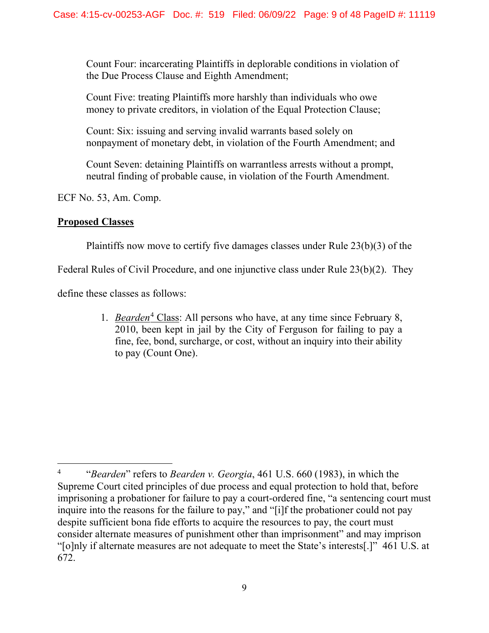Count Four: incarcerating Plaintiffs in deplorable conditions in violation of the Due Process Clause and Eighth Amendment;

Count Five: treating Plaintiffs more harshly than individuals who owe money to private creditors, in violation of the Equal Protection Clause;

Count: Six: issuing and serving invalid warrants based solely on nonpayment of monetary debt, in violation of the Fourth Amendment; and

Count Seven: detaining Plaintiffs on warrantless arrests without a prompt, neutral finding of probable cause, in violation of the Fourth Amendment.

ECF No. 53, Am. Comp.

# **Proposed Classes**

Plaintiffs now move to certify five damages classes under Rule 23(b)(3) of the

Federal Rules of Civil Procedure, and one injunctive class under Rule 23(b)(2). They

define these classes as follows:

1. *Bearden*<sup>[4](#page-8-0)</sup> Class: All persons who have, at any time since February 8, 2010, been kept in jail by the City of Ferguson for failing to pay a fine, fee, bond, surcharge, or cost, without an inquiry into their ability to pay (Count One).

<span id="page-8-0"></span><sup>4</sup> "*Bearden*" refers to *Bearden v. Georgia*, 461 U.S. 660 (1983), in which the Supreme Court cited principles of due process and equal protection to hold that, before imprisoning a probationer for failure to pay a court-ordered fine, "a sentencing court must inquire into the reasons for the failure to pay," and "[i]f the probationer could not pay despite sufficient bona fide efforts to acquire the resources to pay, the court must consider alternate measures of punishment other than imprisonment" and may imprison "[o]nly if alternate measures are not adequate to meet the State's interests[.]" 461 U.S. at 672.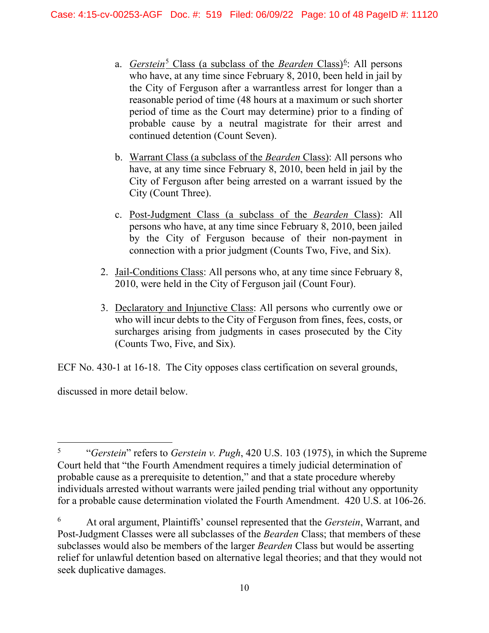- a. *Gerstein*<sup>[5](#page-9-0)</sup> Class (a subclass of the *Bearden* Class)<sup>[6](#page-9-1)</sup>: All persons who have, at any time since February 8, 2010, been held in jail by the City of Ferguson after a warrantless arrest for longer than a reasonable period of time (48 hours at a maximum or such shorter period of time as the Court may determine) prior to a finding of probable cause by a neutral magistrate for their arrest and continued detention (Count Seven).
- b. Warrant Class (a subclass of the *Bearden* Class): All persons who have, at any time since February 8, 2010, been held in jail by the City of Ferguson after being arrested on a warrant issued by the City (Count Three).
- c. Post-Judgment Class (a subclass of the *Bearden* Class): All persons who have, at any time since February 8, 2010, been jailed by the City of Ferguson because of their non-payment in connection with a prior judgment (Counts Two, Five, and Six).
- 2. Jail-Conditions Class: All persons who, at any time since February 8, 2010, were held in the City of Ferguson jail (Count Four).
- 3. Declaratory and Injunctive Class: All persons who currently owe or who will incur debts to the City of Ferguson from fines, fees, costs, or surcharges arising from judgments in cases prosecuted by the City (Counts Two, Five, and Six).

ECF No. 430-1 at 16-18. The City opposes class certification on several grounds,

discussed in more detail below.

<span id="page-9-0"></span><sup>5</sup> "*Gerstein*" refers to *Gerstein v. Pugh*, 420 U.S. 103 (1975), in which the Supreme Court held that "the Fourth Amendment requires a timely judicial determination of probable cause as a prerequisite to detention," and that a state procedure whereby individuals arrested without warrants were jailed pending trial without any opportunity for a probable cause determination violated the Fourth Amendment. 420 U.S. at 106-26.

<span id="page-9-1"></span><sup>6</sup> At oral argument, Plaintiffs' counsel represented that the *Gerstein*, Warrant, and Post-Judgment Classes were all subclasses of the *Bearden* Class; that members of these subclasses would also be members of the larger *Bearden* Class but would be asserting relief for unlawful detention based on alternative legal theories; and that they would not seek duplicative damages.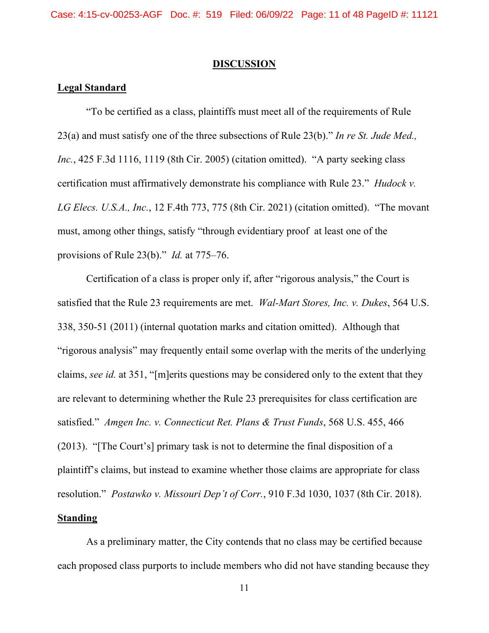#### **DISCUSSION**

### **Legal Standard**

"To be certified as a class, plaintiffs must meet all of the requirements of Rule 23(a) and must satisfy one of the three subsections of Rule 23(b)." *In re St. Jude Med., Inc.*, 425 F.3d 1116, 1119 (8th Cir. 2005) (citation omitted). "A party seeking class certification must affirmatively demonstrate his compliance with Rule 23." *Hudock v. LG Elecs. U.S.A., Inc.*, 12 F.4th 773, 775 (8th Cir. 2021) (citation omitted). "The movant must, among other things, satisfy "through evidentiary proof at least one of the provisions of Rule 23(b)." *Id.* at 775–76.

Certification of a class is proper only if, after "rigorous analysis," the Court is satisfied that the Rule 23 requirements are met. *Wal-Mart Stores, Inc. v. Dukes*, 564 U.S. 338, 350-51 (2011) (internal quotation marks and citation omitted). Although that "rigorous analysis" may frequently entail some overlap with the merits of the underlying claims, *see id.* at 351, "[m]erits questions may be considered only to the extent that they are relevant to determining whether the Rule 23 prerequisites for class certification are satisfied." *Amgen Inc. v. Connecticut Ret. Plans & Trust Funds*, 568 U.S. 455, 466 (2013). "[The Court's] primary task is not to determine the final disposition of a plaintiff's claims, but instead to examine whether those claims are appropriate for class resolution." *Postawko v. Missouri Dep't of Corr.*, 910 F.3d 1030, 1037 (8th Cir. 2018).

# **Standing**

As a preliminary matter, the City contends that no class may be certified because each proposed class purports to include members who did not have standing because they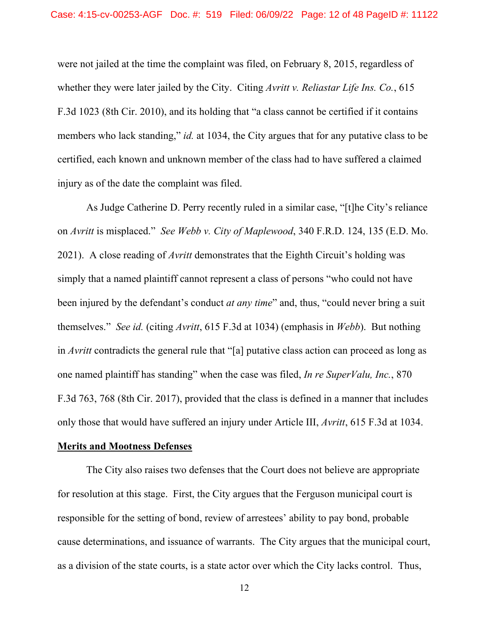were not jailed at the time the complaint was filed, on February 8, 2015, regardless of whether they were later jailed by the City. Citing *Avritt v. Reliastar Life Ins. Co.*, 615 F.3d 1023 (8th Cir. 2010), and its holding that "a class cannot be certified if it contains members who lack standing," *id.* at 1034, the City argues that for any putative class to be certified, each known and unknown member of the class had to have suffered a claimed injury as of the date the complaint was filed.

As Judge Catherine D. Perry recently ruled in a similar case, "[t]he City's reliance on *Avritt* is misplaced." *See Webb v. City of Maplewood*, 340 F.R.D. 124, 135 (E.D. Mo. 2021). A close reading of *Avritt* demonstrates that the Eighth Circuit's holding was simply that a named plaintiff cannot represent a class of persons "who could not have been injured by the defendant's conduct *at any time*" and, thus, "could never bring a suit themselves." *See id.* (citing *Avritt*, 615 F.3d at 1034) (emphasis in *Webb*). But nothing in *Avritt* contradicts the general rule that "[a] putative class action can proceed as long as one named plaintiff has standing" when the case was filed, *In re SuperValu, Inc.*, 870 F.3d 763, 768 (8th Cir. 2017), provided that the class is defined in a manner that includes only those that would have suffered an injury under Article III, *Avritt*, 615 F.3d at 1034.

## **Merits and Mootness Defenses**

The City also raises two defenses that the Court does not believe are appropriate for resolution at this stage. First, the City argues that the Ferguson municipal court is responsible for the setting of bond, review of arrestees' ability to pay bond, probable cause determinations, and issuance of warrants. The City argues that the municipal court, as a division of the state courts, is a state actor over which the City lacks control. Thus,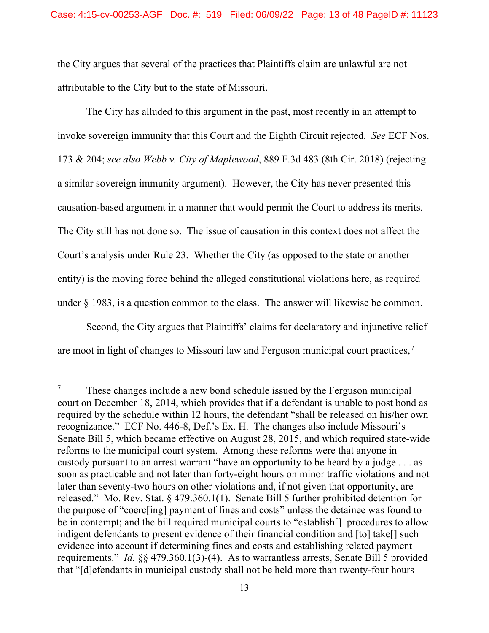the City argues that several of the practices that Plaintiffs claim are unlawful are not attributable to the City but to the state of Missouri.

The City has alluded to this argument in the past, most recently in an attempt to invoke sovereign immunity that this Court and the Eighth Circuit rejected. *See* ECF Nos. 173 & 204; *see also Webb v. City of Maplewood*, 889 F.3d 483 (8th Cir. 2018) (rejecting a similar sovereign immunity argument). However, the City has never presented this causation-based argument in a manner that would permit the Court to address its merits. The City still has not done so. The issue of causation in this context does not affect the Court's analysis under Rule 23. Whether the City (as opposed to the state or another entity) is the moving force behind the alleged constitutional violations here, as required under § 1983, is a question common to the class. The answer will likewise be common.

Second, the City argues that Plaintiffs' claims for declaratory and injunctive relief are moot in light of changes to Missouri law and Ferguson municipal court practices,[7](#page-12-0)

<span id="page-12-0"></span> $7 \text{ These changes include a new bond schedule issued by the Ferguson municipal}$ court on December 18, 2014, which provides that if a defendant is unable to post bond as required by the schedule within 12 hours, the defendant "shall be released on his/her own recognizance." ECF No. 446-8, Def.'s Ex. H. The changes also include Missouri's Senate Bill 5, which became effective on August 28, 2015, and which required state-wide reforms to the municipal court system. Among these reforms were that anyone in custody pursuant to an arrest warrant "have an opportunity to be heard by a judge . . . as soon as practicable and not later than forty-eight hours on minor traffic violations and not later than seventy-two hours on other violations and, if not given that opportunity, are released." Mo. Rev. Stat. § 479.360.1(1). Senate Bill 5 further prohibited detention for the purpose of "coerc[ing] payment of fines and costs" unless the detainee was found to be in contempt; and the bill required municipal courts to "establish<sup>[]</sup> procedures to allow indigent defendants to present evidence of their financial condition and [to] take[] such evidence into account if determining fines and costs and establishing related payment requirements." *Id.* §§ 479.360.1(3)-(4). As to warrantless arrests, Senate Bill 5 provided that "[d]efendants in municipal custody shall not be held more than twenty-four hours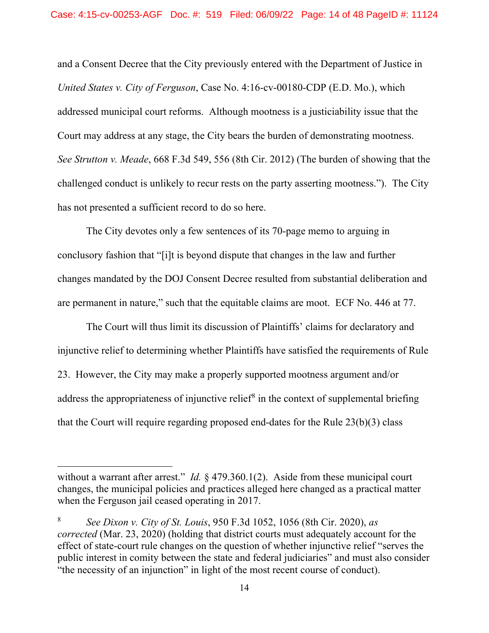and a Consent Decree that the City previously entered with the Department of Justice in *United States v. City of Ferguson*, Case No. 4:16-cv-00180-CDP (E.D. Mo.), which addressed municipal court reforms. Although mootness is a justiciability issue that the Court may address at any stage, the City bears the burden of demonstrating mootness. *See Strutton v. Meade*, 668 F.3d 549, 556 (8th Cir. 2012) (The burden of showing that the challenged conduct is unlikely to recur rests on the party asserting mootness."). The City has not presented a sufficient record to do so here.

The City devotes only a few sentences of its 70-page memo to arguing in conclusory fashion that "[i]t is beyond dispute that changes in the law and further changes mandated by the DOJ Consent Decree resulted from substantial deliberation and are permanent in nature," such that the equitable claims are moot. ECF No. 446 at 77.

The Court will thus limit its discussion of Plaintiffs' claims for declaratory and injunctive relief to determining whether Plaintiffs have satisfied the requirements of Rule 23. However, the City may make a properly supported mootness argument and/or address the appropriateness of injunctive relief<sup>[8](#page-13-0)</sup> in the context of supplemental briefing that the Court will require regarding proposed end-dates for the Rule 23(b)(3) class

without a warrant after arrest." *Id.* § 479.360.1(2). Aside from these municipal court changes, the municipal policies and practices alleged here changed as a practical matter when the Ferguson jail ceased operating in 2017.

<span id="page-13-0"></span><sup>8</sup> *See Dixon v. City of St. Louis*, 950 F.3d 1052, 1056 (8th Cir. 2020), *as corrected* (Mar. 23, 2020) (holding that district courts must adequately account for the effect of state-court rule changes on the question of whether injunctive relief "serves the public interest in comity between the state and federal judiciaries" and must also consider "the necessity of an injunction" in light of the most recent course of conduct).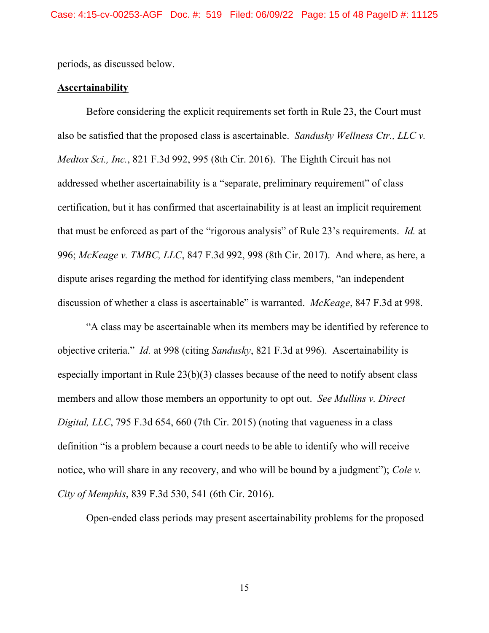periods, as discussed below.

# **Ascertainability**

Before considering the explicit requirements set forth in Rule 23, the Court must also be satisfied that the proposed class is ascertainable. *Sandusky Wellness Ctr., LLC v. Medtox Sci., Inc.*, 821 F.3d 992, 995 (8th Cir. 2016). The Eighth Circuit has not addressed whether ascertainability is a "separate, preliminary requirement" of class certification, but it has confirmed that ascertainability is at least an implicit requirement that must be enforced as part of the "rigorous analysis" of Rule 23's requirements. *Id.* at 996; *McKeage v. TMBC, LLC*, 847 F.3d 992, 998 (8th Cir. 2017). And where, as here, a dispute arises regarding the method for identifying class members, "an independent discussion of whether a class is ascertainable" is warranted. *McKeage*, 847 F.3d at 998.

"A class may be ascertainable when its members may be identified by reference to objective criteria." *Id.* at 998 (citing *Sandusky*, 821 F.3d at 996). Ascertainability is especially important in Rule 23(b)(3) classes because of the need to notify absent class members and allow those members an opportunity to opt out. *See Mullins v. Direct Digital, LLC*, 795 F.3d 654, 660 (7th Cir. 2015) (noting that vagueness in a class definition "is a problem because a court needs to be able to identify who will receive notice, who will share in any recovery, and who will be bound by a judgment"); *Cole v. City of Memphis*, 839 F.3d 530, 541 (6th Cir. 2016).

Open-ended class periods may present ascertainability problems for the proposed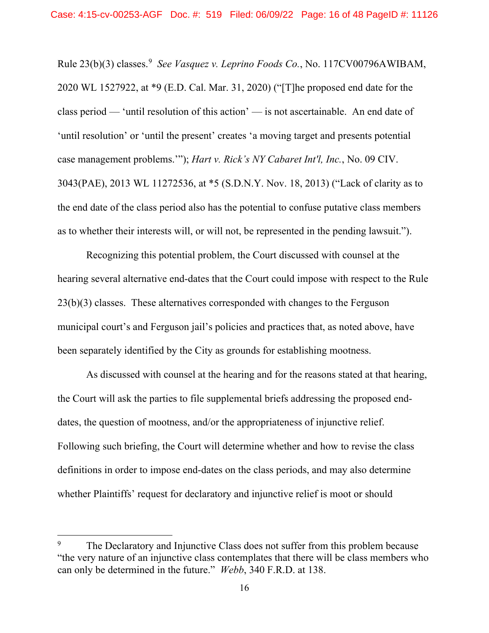Rule 23(b)(3) classes.<sup>[9](#page-15-0)</sup> See Vasquez v. Leprino Foods Co., No. 117CV00796AWIBAM, 2020 WL 1527922, at \*9 (E.D. Cal. Mar. 31, 2020) ("[T]he proposed end date for the class period — 'until resolution of this action' — is not ascertainable. An end date of 'until resolution' or 'until the present' creates 'a moving target and presents potential case management problems.'"); *Hart v. Rick's NY Cabaret Int'l, Inc.*, No. 09 CIV. 3043(PAE), 2013 WL 11272536, at \*5 (S.D.N.Y. Nov. 18, 2013) ("Lack of clarity as to the end date of the class period also has the potential to confuse putative class members as to whether their interests will, or will not, be represented in the pending lawsuit.").

Recognizing this potential problem, the Court discussed with counsel at the hearing several alternative end-dates that the Court could impose with respect to the Rule 23(b)(3) classes. These alternatives corresponded with changes to the Ferguson municipal court's and Ferguson jail's policies and practices that, as noted above, have been separately identified by the City as grounds for establishing mootness.

As discussed with counsel at the hearing and for the reasons stated at that hearing, the Court will ask the parties to file supplemental briefs addressing the proposed enddates, the question of mootness, and/or the appropriateness of injunctive relief. Following such briefing, the Court will determine whether and how to revise the class definitions in order to impose end-dates on the class periods, and may also determine whether Plaintiffs' request for declaratory and injunctive relief is moot or should

<span id="page-15-0"></span>The Declaratory and Injunctive Class does not suffer from this problem because "the very nature of an injunctive class contemplates that there will be class members who can only be determined in the future." *Webb*, 340 F.R.D. at 138.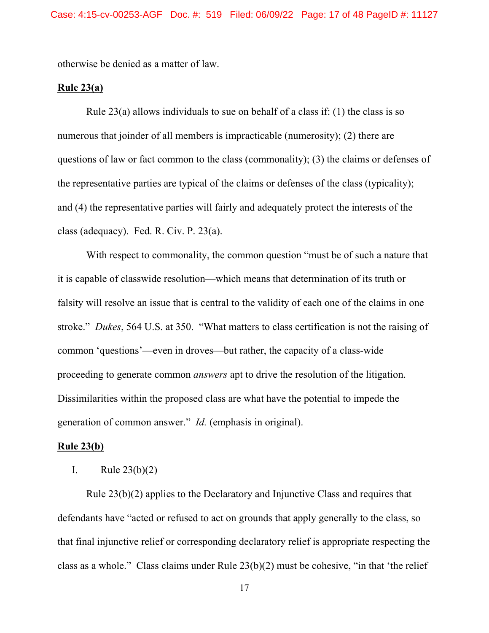otherwise be denied as a matter of law.

# **Rule 23(a)**

Rule 23(a) allows individuals to sue on behalf of a class if: (1) the class is so numerous that joinder of all members is impracticable (numerosity); (2) there are questions of law or fact common to the class (commonality); (3) the claims or defenses of the representative parties are typical of the claims or defenses of the class (typicality); and (4) the representative parties will fairly and adequately protect the interests of the class (adequacy). Fed. R. Civ. P. 23(a).

With respect to commonality, the common question "must be of such a nature that it is capable of classwide resolution—which means that determination of its truth or falsity will resolve an issue that is central to the validity of each one of the claims in one stroke." *Dukes*, 564 U.S. at 350. "What matters to class certification is not the raising of common 'questions'—even in droves—but rather, the capacity of a class-wide proceeding to generate common *answers* apt to drive the resolution of the litigation. Dissimilarities within the proposed class are what have the potential to impede the generation of common answer." *Id.* (emphasis in original).

## **Rule 23(b)**

### I. Rule  $23(b)(2)$

Rule 23(b)(2) applies to the Declaratory and Injunctive Class and requires that defendants have "acted or refused to act on grounds that apply generally to the class, so that final injunctive relief or corresponding declaratory relief is appropriate respecting the class as a whole." Class claims under Rule 23(b)(2) must be cohesive, "in that 'the relief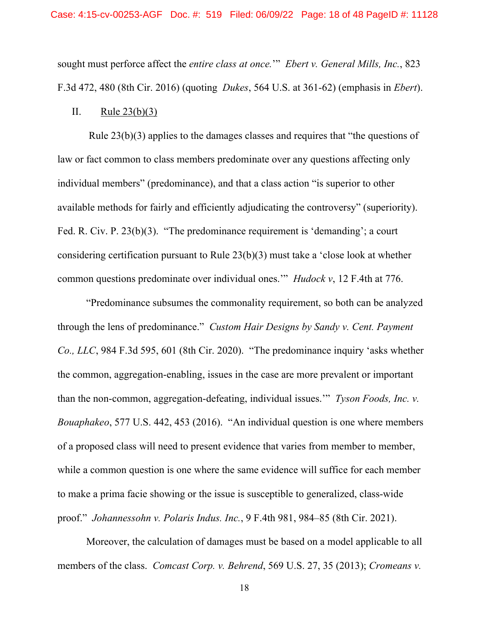sought must perforce affect the *entire class at once.*'" *Ebert v. General Mills, Inc.*, 823 F.3d 472, 480 (8th Cir. 2016) (quoting *Dukes*, 564 U.S. at 361-62) (emphasis in *Ebert*).

II. Rule  $23(b)(3)$ 

Rule 23(b)(3) applies to the damages classes and requires that "the questions of law or fact common to class members predominate over any questions affecting only individual members" (predominance), and that a class action "is superior to other available methods for fairly and efficiently adjudicating the controversy" (superiority). Fed. R. Civ. P. 23(b)(3). "The predominance requirement is 'demanding'; a court considering certification pursuant to Rule 23(b)(3) must take a 'close look at whether common questions predominate over individual ones.'" *Hudock v*, 12 F.4th at 776.

"Predominance subsumes the commonality requirement, so both can be analyzed through the lens of predominance." *Custom Hair Designs by Sandy v. Cent. Payment Co., LLC*, 984 F.3d 595, 601 (8th Cir. 2020). "The predominance inquiry 'asks whether the common, aggregation-enabling, issues in the case are more prevalent or important than the non-common, aggregation-defeating, individual issues.'" *Tyson Foods, Inc. v. Bouaphakeo*, 577 U.S. 442, 453 (2016). "An individual question is one where members of a proposed class will need to present evidence that varies from member to member, while a common question is one where the same evidence will suffice for each member to make a prima facie showing or the issue is susceptible to generalized, class-wide proof." *Johannessohn v. Polaris Indus. Inc.*, 9 F.4th 981, 984–85 (8th Cir. 2021).

Moreover, the calculation of damages must be based on a model applicable to all members of the class. *Comcast Corp. v. Behrend*, 569 U.S. 27, 35 (2013); *Cromeans v.*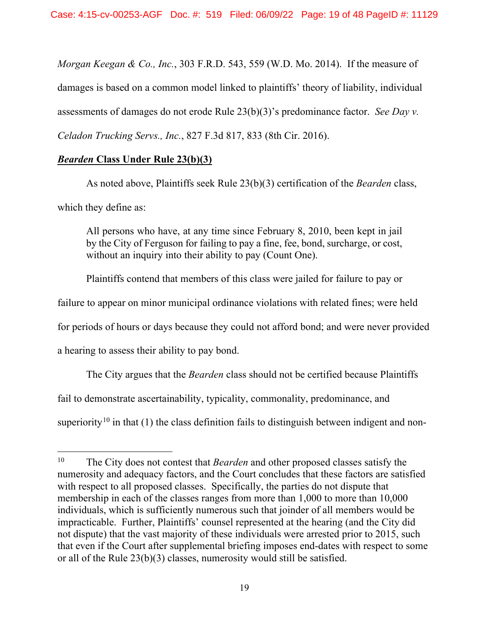*Morgan Keegan & Co., Inc.*, 303 F.R.D. 543, 559 (W.D. Mo. 2014). If the measure of damages is based on a common model linked to plaintiffs' theory of liability, individual assessments of damages do not erode Rule 23(b)(3)'s predominance factor. *See Day v. Celadon Trucking Servs., Inc.*, 827 F.3d 817, 833 (8th Cir. 2016).

# *Bearden* **Class Under Rule 23(b)(3)**

As noted above, Plaintiffs seek Rule 23(b)(3) certification of the *Bearden* class, which they define as:

All persons who have, at any time since February 8, 2010, been kept in jail by the City of Ferguson for failing to pay a fine, fee, bond, surcharge, or cost, without an inquiry into their ability to pay (Count One).

Plaintiffs contend that members of this class were jailed for failure to pay or

failure to appear on minor municipal ordinance violations with related fines; were held

for periods of hours or days because they could not afford bond; and were never provided

a hearing to assess their ability to pay bond.

The City argues that the *Bearden* class should not be certified because Plaintiffs fail to demonstrate ascertainability, typicality, commonality, predominance, and superiority<sup>[10](#page-18-0)</sup> in that (1) the class definition fails to distinguish between indigent and non-

<span id="page-18-0"></span><sup>10</sup> The City does not contest that *Bearden* and other proposed classes satisfy the numerosity and adequacy factors, and the Court concludes that these factors are satisfied with respect to all proposed classes. Specifically, the parties do not dispute that membership in each of the classes ranges from more than 1,000 to more than 10,000 individuals, which is sufficiently numerous such that joinder of all members would be impracticable. Further, Plaintiffs' counsel represented at the hearing (and the City did not dispute) that the vast majority of these individuals were arrested prior to 2015, such that even if the Court after supplemental briefing imposes end-dates with respect to some or all of the Rule 23(b)(3) classes, numerosity would still be satisfied.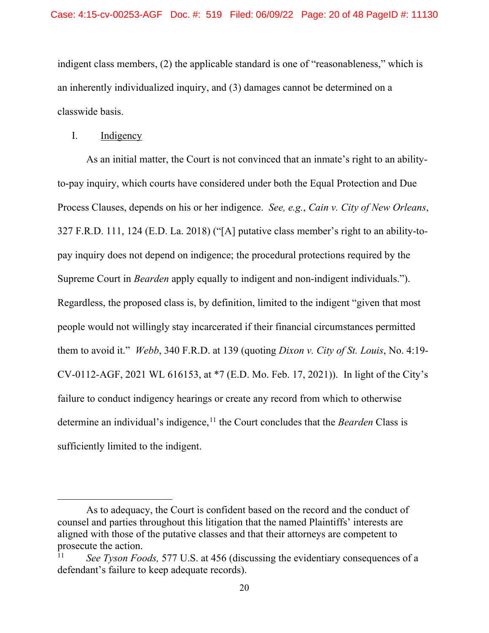indigent class members, (2) the applicable standard is one of "reasonableness," which is an inherently individualized inquiry, and (3) damages cannot be determined on a classwide basis.

# I. Indigency

As an initial matter, the Court is not convinced that an inmate's right to an abilityto-pay inquiry, which courts have considered under both the Equal Protection and Due Process Clauses, depends on his or her indigence. *See, e.g.*, *Cain v. City of New Orleans*, 327 F.R.D. 111, 124 (E.D. La. 2018) ("[A] putative class member's right to an ability-topay inquiry does not depend on indigence; the procedural protections required by the Supreme Court in *Bearden* apply equally to indigent and non-indigent individuals."). Regardless, the proposed class is, by definition, limited to the indigent "given that most people would not willingly stay incarcerated if their financial circumstances permitted them to avoid it." *Webb*, 340 F.R.D. at 139 (quoting *Dixon v. City of St. Louis*, No. 4:19- CV-0112-AGF, 2021 WL 616153, at \*7 (E.D. Mo. Feb. 17, 2021)). In light of the City's failure to conduct indigency hearings or create any record from which to otherwise determine an individual's indigence,<sup>[11](#page-19-0)</sup> the Court concludes that the *Bearden* Class is sufficiently limited to the indigent.

As to adequacy, the Court is confident based on the record and the conduct of counsel and parties throughout this litigation that the named Plaintiffs' interests are aligned with those of the putative classes and that their attorneys are competent to prosecute the action.

<span id="page-19-0"></span>See Tyson Foods, 577 U.S. at 456 (discussing the evidentiary consequences of a defendant's failure to keep adequate records).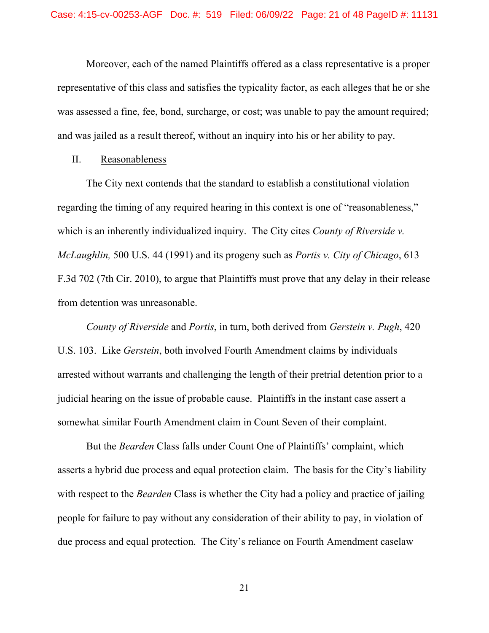Moreover, each of the named Plaintiffs offered as a class representative is a proper representative of this class and satisfies the typicality factor, as each alleges that he or she was assessed a fine, fee, bond, surcharge, or cost; was unable to pay the amount required; and was jailed as a result thereof, without an inquiry into his or her ability to pay.

# II. Reasonableness

The City next contends that the standard to establish a constitutional violation regarding the timing of any required hearing in this context is one of "reasonableness," which is an inherently individualized inquiry. The City cites *County of Riverside v. McLaughlin,* 500 U.S. 44 (1991) and its progeny such as *Portis v. City of Chicago*, 613 F.3d 702 (7th Cir. 2010), to argue that Plaintiffs must prove that any delay in their release from detention was unreasonable.

*County of Riverside* and *Portis*, in turn, both derived from *Gerstein v. Pugh*, 420 U.S. 103. Like *Gerstein*, both involved Fourth Amendment claims by individuals arrested without warrants and challenging the length of their pretrial detention prior to a judicial hearing on the issue of probable cause. Plaintiffs in the instant case assert a somewhat similar Fourth Amendment claim in Count Seven of their complaint.

But the *Bearden* Class falls under Count One of Plaintiffs' complaint, which asserts a hybrid due process and equal protection claim. The basis for the City's liability with respect to the *Bearden* Class is whether the City had a policy and practice of jailing people for failure to pay without any consideration of their ability to pay, in violation of due process and equal protection. The City's reliance on Fourth Amendment caselaw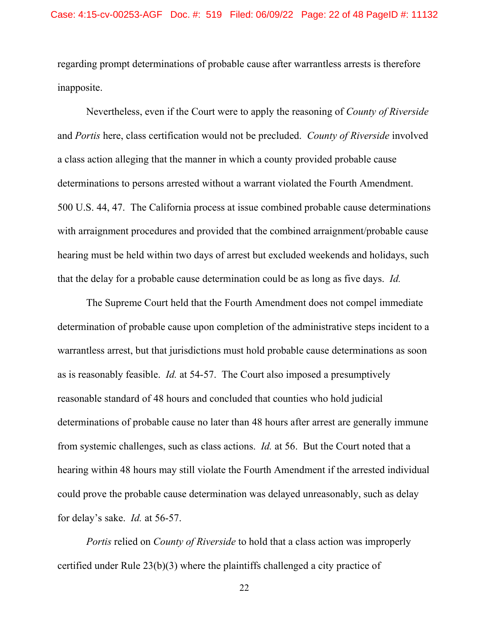regarding prompt determinations of probable cause after warrantless arrests is therefore inapposite.

Nevertheless, even if the Court were to apply the reasoning of *County of Riverside*  and *Portis* here, class certification would not be precluded. *County of Riverside* involved a class action alleging that the manner in which a county provided probable cause determinations to persons arrested without a warrant violated the Fourth Amendment. 500 U.S. 44, 47. The California process at issue combined probable cause determinations with arraignment procedures and provided that the combined arraignment/probable cause hearing must be held within two days of arrest but excluded weekends and holidays, such that the delay for a probable cause determination could be as long as five days. *Id.* 

The Supreme Court held that the Fourth Amendment does not compel immediate determination of probable cause upon completion of the administrative steps incident to a warrantless arrest, but that jurisdictions must hold probable cause determinations as soon as is reasonably feasible. *Id.* at 54-57. The Court also imposed a presumptively reasonable standard of 48 hours and concluded that counties who hold judicial determinations of probable cause no later than 48 hours after arrest are generally immune from systemic challenges, such as class actions. *Id.* at 56. But the Court noted that a hearing within 48 hours may still violate the Fourth Amendment if the arrested individual could prove the probable cause determination was delayed unreasonably, such as delay for delay's sake. *Id.* at 56-57.

*Portis* relied on *County of Riverside* to hold that a class action was improperly certified under Rule 23(b)(3) where the plaintiffs challenged a city practice of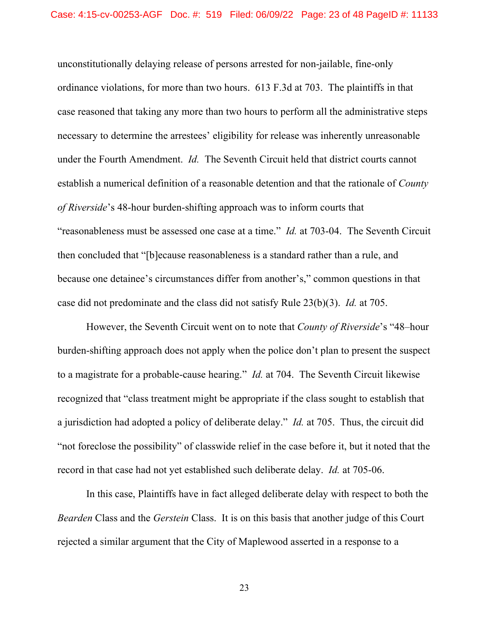unconstitutionally delaying release of persons arrested for non-jailable, fine-only ordinance violations, for more than two hours. 613 F.3d at 703. The plaintiffs in that case reasoned that taking any more than two hours to perform all the administrative steps necessary to determine the arrestees' eligibility for release was inherently unreasonable under the Fourth Amendment. *Id.* The Seventh Circuit held that district courts cannot establish a numerical definition of a reasonable detention and that the rationale of *County of Riverside*'s 48-hour burden-shifting approach was to inform courts that "reasonableness must be assessed one case at a time." *Id.* at 703-04. The Seventh Circuit then concluded that "[b]ecause reasonableness is a standard rather than a rule, and because one detainee's circumstances differ from another's," common questions in that case did not predominate and the class did not satisfy Rule 23(b)(3). *Id.* at 705.

However, the Seventh Circuit went on to note that *County of Riverside*'s "48–hour burden-shifting approach does not apply when the police don't plan to present the suspect to a magistrate for a probable-cause hearing." *Id.* at 704. The Seventh Circuit likewise recognized that "class treatment might be appropriate if the class sought to establish that a jurisdiction had adopted a policy of deliberate delay." *Id.* at 705. Thus, the circuit did "not foreclose the possibility" of classwide relief in the case before it, but it noted that the record in that case had not yet established such deliberate delay. *Id.* at 705-06.

In this case, Plaintiffs have in fact alleged deliberate delay with respect to both the *Bearden* Class and the *Gerstein* Class. It is on this basis that another judge of this Court rejected a similar argument that the City of Maplewood asserted in a response to a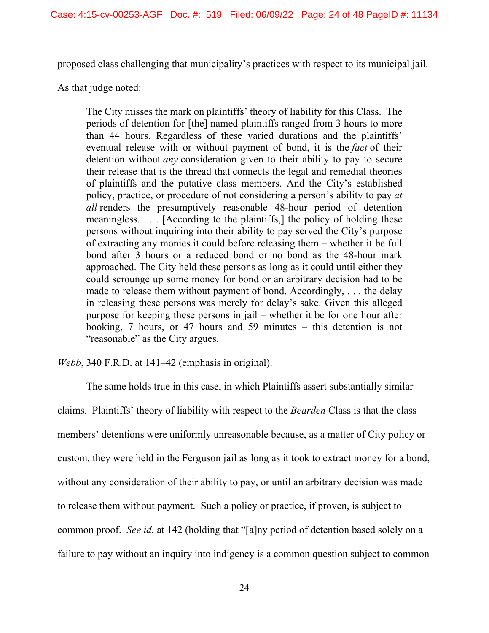proposed class challenging that municipality's practices with respect to its municipal jail.

As that judge noted:

The City misses the mark on plaintiffs' theory of liability for this Class. The periods of detention for [the] named plaintiffs ranged from 3 hours to more than 44 hours. Regardless of these varied durations and the plaintiffs' eventual release with or without payment of bond, it is the *fact* of their detention without *any* consideration given to their ability to pay to secure their release that is the thread that connects the legal and remedial theories of plaintiffs and the putative class members. And the City's established policy, practice, or procedure of not considering a person's ability to pay *at all* renders the presumptively reasonable 48-hour period of detention meaningless. . . . [According to the plaintiffs,] the policy of holding these persons without inquiring into their ability to pay served the City's purpose of extracting any monies it could before releasing them – whether it be full bond after 3 hours or a reduced bond or no bond as the 48-hour mark approached. The City held these persons as long as it could until either they could scrounge up some money for bond or an arbitrary decision had to be made to release them without payment of bond. Accordingly, . . . the delay in releasing these persons was merely for delay's sake. Given this alleged purpose for keeping these persons in jail – whether it be for one hour after booking, 7 hours, or 47 hours and 59 minutes – this detention is not "reasonable" as the City argues.

*Webb*, 340 F.R.D. at 141–42 (emphasis in original).

The same holds true in this case, in which Plaintiffs assert substantially similar claims. Plaintiffs' theory of liability with respect to the *Bearden* Class is that the class members' detentions were uniformly unreasonable because, as a matter of City policy or custom, they were held in the Ferguson jail as long as it took to extract money for a bond, without any consideration of their ability to pay, or until an arbitrary decision was made to release them without payment. Such a policy or practice, if proven, is subject to common proof. *See id.* at 142 (holding that "[a]ny period of detention based solely on a failure to pay without an inquiry into indigency is a common question subject to common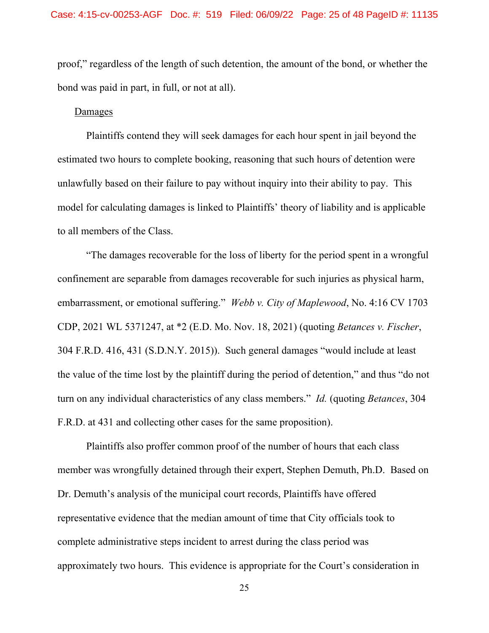proof," regardless of the length of such detention, the amount of the bond, or whether the bond was paid in part, in full, or not at all).

# Damages

Plaintiffs contend they will seek damages for each hour spent in jail beyond the estimated two hours to complete booking, reasoning that such hours of detention were unlawfully based on their failure to pay without inquiry into their ability to pay. This model for calculating damages is linked to Plaintiffs' theory of liability and is applicable to all members of the Class.

"The damages recoverable for the loss of liberty for the period spent in a wrongful confinement are separable from damages recoverable for such injuries as physical harm, embarrassment, or emotional suffering." *Webb v. City of Maplewood*, No. 4:16 CV 1703 CDP, 2021 WL 5371247, at \*2 (E.D. Mo. Nov. 18, 2021) (quoting *Betances v. Fischer*, 304 F.R.D. 416, 431 (S.D.N.Y. 2015)). Such general damages "would include at least the value of the time lost by the plaintiff during the period of detention," and thus "do not turn on any individual characteristics of any class members." *Id.* (quoting *Betances*, 304 F.R.D. at 431 and collecting other cases for the same proposition).

Plaintiffs also proffer common proof of the number of hours that each class member was wrongfully detained through their expert, Stephen Demuth, Ph.D. Based on Dr. Demuth's analysis of the municipal court records, Plaintiffs have offered representative evidence that the median amount of time that City officials took to complete administrative steps incident to arrest during the class period was approximately two hours. This evidence is appropriate for the Court's consideration in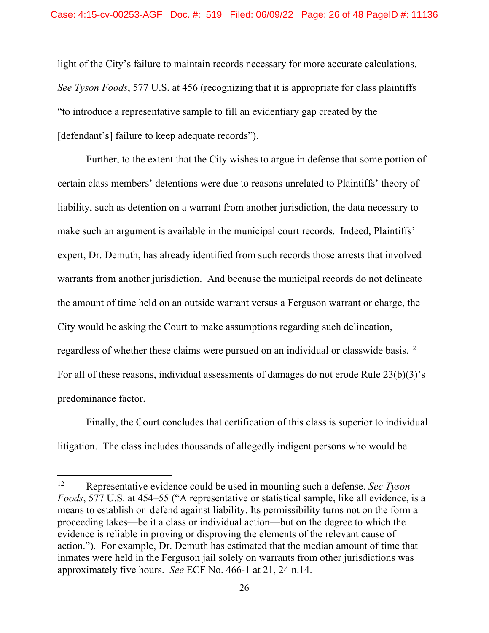light of the City's failure to maintain records necessary for more accurate calculations. *See Tyson Foods*, 577 U.S. at 456 (recognizing that it is appropriate for class plaintiffs "to introduce a representative sample to fill an evidentiary gap created by the [defendant's] failure to keep adequate records").

Further, to the extent that the City wishes to argue in defense that some portion of certain class members' detentions were due to reasons unrelated to Plaintiffs' theory of liability, such as detention on a warrant from another jurisdiction, the data necessary to make such an argument is available in the municipal court records. Indeed, Plaintiffs' expert, Dr. Demuth, has already identified from such records those arrests that involved warrants from another jurisdiction. And because the municipal records do not delineate the amount of time held on an outside warrant versus a Ferguson warrant or charge, the City would be asking the Court to make assumptions regarding such delineation, regardless of whether these claims were pursued on an individual or classwide basis.[12](#page-25-0) For all of these reasons, individual assessments of damages do not erode Rule 23(b)(3)'s predominance factor.

Finally, the Court concludes that certification of this class is superior to individual litigation. The class includes thousands of allegedly indigent persons who would be

<span id="page-25-0"></span><sup>12</sup> Representative evidence could be used in mounting such a defense. *See Tyson Foods*, 577 U.S. at 454–55 ("A representative or statistical sample, like all evidence, is a means to establish or defend against liability. Its permissibility turns not on the form a proceeding takes—be it a class or individual action—but on the degree to which the evidence is reliable in proving or disproving the elements of the relevant cause of action."). For example, Dr. Demuth has estimated that the median amount of time that inmates were held in the Ferguson jail solely on warrants from other jurisdictions was approximately five hours. *See* ECF No. 466-1 at 21, 24 n.14.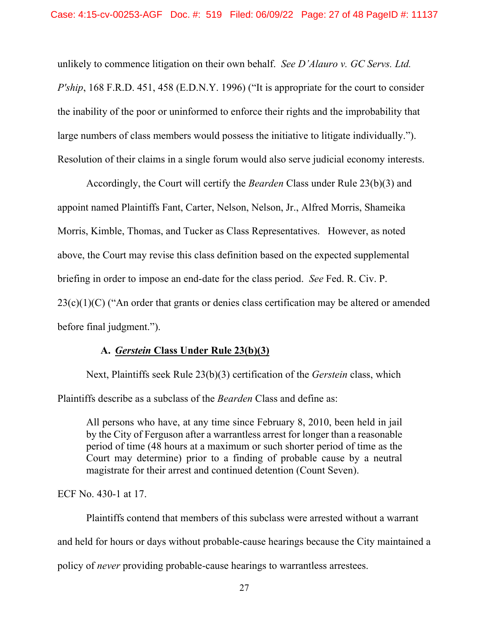unlikely to commence litigation on their own behalf. *See D'Alauro v. GC Servs. Ltd. P'ship*, 168 F.R.D. 451, 458 (E.D.N.Y. 1996) ("It is appropriate for the court to consider the inability of the poor or uninformed to enforce their rights and the improbability that large numbers of class members would possess the initiative to litigate individually."). Resolution of their claims in a single forum would also serve judicial economy interests.

Accordingly, the Court will certify the *Bearden* Class under Rule 23(b)(3) and appoint named Plaintiffs Fant, Carter, Nelson, Nelson, Jr., Alfred Morris, Shameika Morris, Kimble, Thomas, and Tucker as Class Representatives. However, as noted above, the Court may revise this class definition based on the expected supplemental briefing in order to impose an end-date for the class period. *See* Fed. R. Civ. P.  $23(c)(1)(C)$  ("An order that grants or denies class certification may be altered or amended before final judgment.").

# **A.** *Gerstein* **Class Under Rule 23(b)(3)**

Next, Plaintiffs seek Rule 23(b)(3) certification of the *Gerstein* class, which Plaintiffs describe as a subclass of the *Bearden* Class and define as:

All persons who have, at any time since February 8, 2010, been held in jail by the City of Ferguson after a warrantless arrest for longer than a reasonable period of time (48 hours at a maximum or such shorter period of time as the Court may determine) prior to a finding of probable cause by a neutral magistrate for their arrest and continued detention (Count Seven).

ECF No. 430-1 at 17.

Plaintiffs contend that members of this subclass were arrested without a warrant and held for hours or days without probable-cause hearings because the City maintained a policy of *never* providing probable-cause hearings to warrantless arrestees.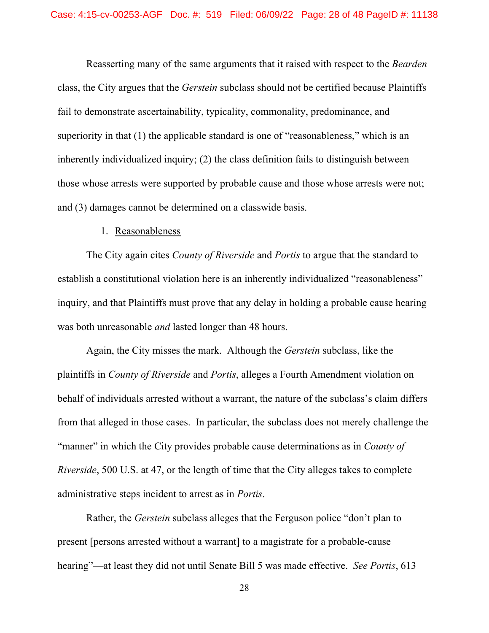Reasserting many of the same arguments that it raised with respect to the *Bearden*  class, the City argues that the *Gerstein* subclass should not be certified because Plaintiffs fail to demonstrate ascertainability, typicality, commonality, predominance, and superiority in that (1) the applicable standard is one of "reasonableness," which is an inherently individualized inquiry; (2) the class definition fails to distinguish between those whose arrests were supported by probable cause and those whose arrests were not; and (3) damages cannot be determined on a classwide basis.

### 1. Reasonableness

The City again cites *County of Riverside* and *Portis* to argue that the standard to establish a constitutional violation here is an inherently individualized "reasonableness" inquiry, and that Plaintiffs must prove that any delay in holding a probable cause hearing was both unreasonable *and* lasted longer than 48 hours.

Again, the City misses the mark. Although the *Gerstein* subclass, like the plaintiffs in *County of Riverside* and *Portis*, alleges a Fourth Amendment violation on behalf of individuals arrested without a warrant, the nature of the subclass's claim differs from that alleged in those cases. In particular, the subclass does not merely challenge the "manner" in which the City provides probable cause determinations as in *County of Riverside*, 500 U.S. at 47, or the length of time that the City alleges takes to complete administrative steps incident to arrest as in *Portis*.

Rather, the *Gerstein* subclass alleges that the Ferguson police "don't plan to present [persons arrested without a warrant] to a magistrate for a probable-cause hearing"—at least they did not until Senate Bill 5 was made effective. *See Portis*, 613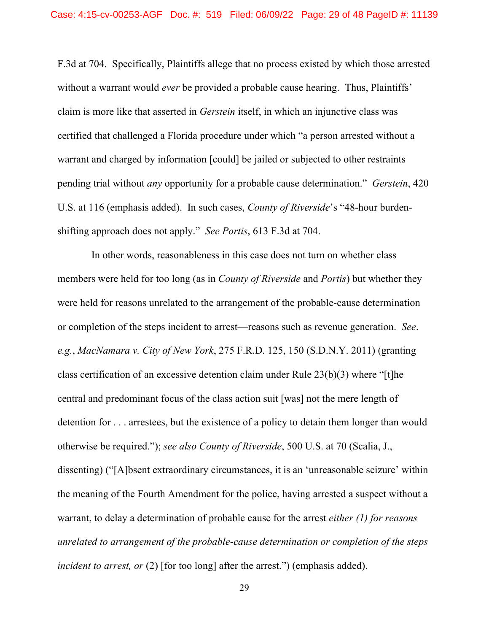F.3d at 704. Specifically, Plaintiffs allege that no process existed by which those arrested without a warrant would *ever* be provided a probable cause hearing. Thus, Plaintiffs' claim is more like that asserted in *Gerstein* itself, in which an injunctive class was certified that challenged a Florida procedure under which "a person arrested without a warrant and charged by information [could] be jailed or subjected to other restraints pending trial without *any* opportunity for a probable cause determination." *Gerstein*, 420 U.S. at 116 (emphasis added). In such cases, *County of Riverside*'s "48-hour burdenshifting approach does not apply." *See Portis*, 613 F.3d at 704.

 In other words, reasonableness in this case does not turn on whether class members were held for too long (as in *County of Riverside* and *Portis*) but whether they were held for reasons unrelated to the arrangement of the probable-cause determination or completion of the steps incident to arrest—reasons such as revenue generation. *See*. *e.g.*, *MacNamara v. City of New York*, 275 F.R.D. 125, 150 (S.D.N.Y. 2011) (granting class certification of an excessive detention claim under Rule 23(b)(3) where "[t]he central and predominant focus of the class action suit [was] not the mere length of detention for . . . arrestees, but the existence of a policy to detain them longer than would otherwise be required."); *see also County of Riverside*, 500 U.S. at 70 (Scalia, J., dissenting) ("[A]bsent extraordinary circumstances, it is an 'unreasonable seizure' within the meaning of the Fourth Amendment for the police, having arrested a suspect without a warrant, to delay a determination of probable cause for the arrest *either (1) for reasons unrelated to arrangement of the probable-cause determination or completion of the steps incident to arrest, or* (2) [for too long] after the arrest.") (emphasis added).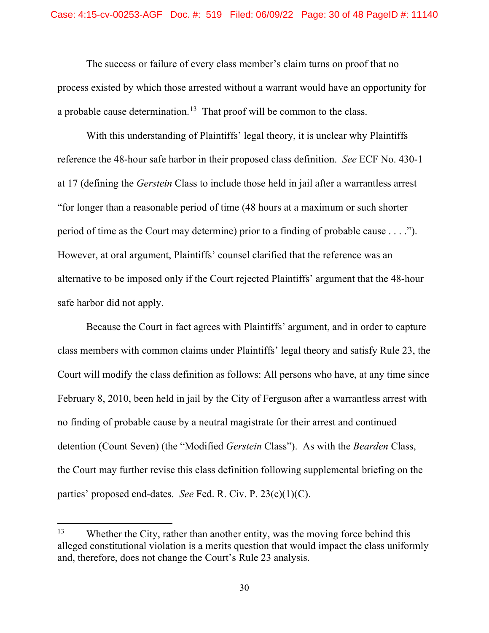The success or failure of every class member's claim turns on proof that no process existed by which those arrested without a warrant would have an opportunity for a probable cause determination.<sup>13</sup> That proof will be common to the class.

With this understanding of Plaintiffs' legal theory, it is unclear why Plaintiffs reference the 48-hour safe harbor in their proposed class definition. *See* ECF No. 430-1 at 17 (defining the *Gerstein* Class to include those held in jail after a warrantless arrest "for longer than a reasonable period of time (48 hours at a maximum or such shorter period of time as the Court may determine) prior to a finding of probable cause . . . ."). However, at oral argument, Plaintiffs' counsel clarified that the reference was an alternative to be imposed only if the Court rejected Plaintiffs' argument that the 48-hour safe harbor did not apply.

Because the Court in fact agrees with Plaintiffs' argument, and in order to capture class members with common claims under Plaintiffs' legal theory and satisfy Rule 23, the Court will modify the class definition as follows: All persons who have, at any time since February 8, 2010, been held in jail by the City of Ferguson after a warrantless arrest with no finding of probable cause by a neutral magistrate for their arrest and continued detention (Count Seven) (the "Modified *Gerstein* Class"). As with the *Bearden* Class, the Court may further revise this class definition following supplemental briefing on the parties' proposed end-dates. *See* Fed. R. Civ. P. 23(c)(1)(C).

<span id="page-29-0"></span><sup>&</sup>lt;sup>13</sup> Whether the City, rather than another entity, was the moving force behind this alleged constitutional violation is a merits question that would impact the class uniformly and, therefore, does not change the Court's Rule 23 analysis.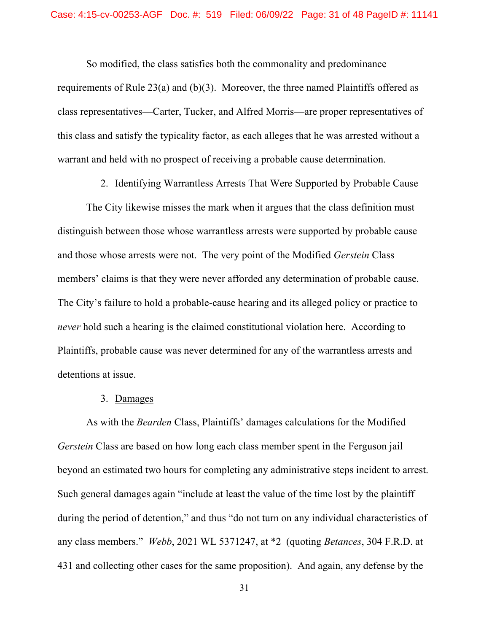So modified, the class satisfies both the commonality and predominance

requirements of Rule 23(a) and (b)(3). Moreover, the three named Plaintiffs offered as class representatives—Carter, Tucker, and Alfred Morris—are proper representatives of this class and satisfy the typicality factor, as each alleges that he was arrested without a warrant and held with no prospect of receiving a probable cause determination.

#### 2. Identifying Warrantless Arrests That Were Supported by Probable Cause

The City likewise misses the mark when it argues that the class definition must distinguish between those whose warrantless arrests were supported by probable cause and those whose arrests were not. The very point of the Modified *Gerstein* Class members' claims is that they were never afforded any determination of probable cause. The City's failure to hold a probable-cause hearing and its alleged policy or practice to *never* hold such a hearing is the claimed constitutional violation here. According to Plaintiffs, probable cause was never determined for any of the warrantless arrests and detentions at issue.

#### 3. Damages

As with the *Bearden* Class, Plaintiffs' damages calculations for the Modified *Gerstein* Class are based on how long each class member spent in the Ferguson jail beyond an estimated two hours for completing any administrative steps incident to arrest. Such general damages again "include at least the value of the time lost by the plaintiff during the period of detention," and thus "do not turn on any individual characteristics of any class members." *Webb*, 2021 WL 5371247, at \*2 (quoting *Betances*, 304 F.R.D. at 431 and collecting other cases for the same proposition). And again, any defense by the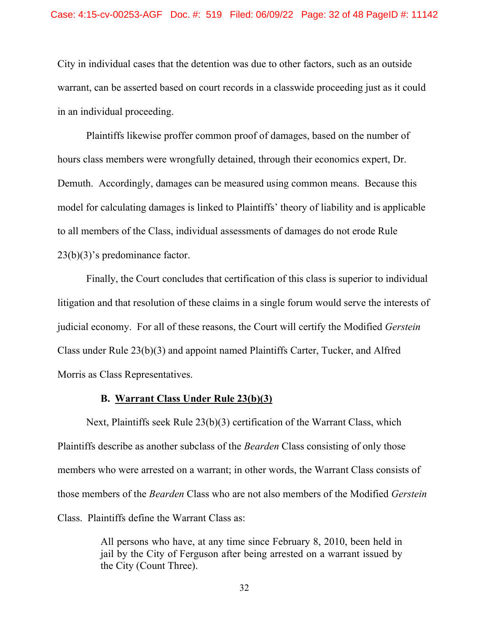City in individual cases that the detention was due to other factors, such as an outside warrant, can be asserted based on court records in a classwide proceeding just as it could in an individual proceeding.

Plaintiffs likewise proffer common proof of damages, based on the number of hours class members were wrongfully detained, through their economics expert, Dr. Demuth. Accordingly, damages can be measured using common means. Because this model for calculating damages is linked to Plaintiffs' theory of liability and is applicable to all members of the Class, individual assessments of damages do not erode Rule 23(b)(3)'s predominance factor.

Finally, the Court concludes that certification of this class is superior to individual litigation and that resolution of these claims in a single forum would serve the interests of judicial economy. For all of these reasons, the Court will certify the Modified *Gerstein*  Class under Rule 23(b)(3) and appoint named Plaintiffs Carter, Tucker, and Alfred Morris as Class Representatives.

## **B. Warrant Class Under Rule 23(b)(3)**

Next, Plaintiffs seek Rule 23(b)(3) certification of the Warrant Class, which Plaintiffs describe as another subclass of the *Bearden* Class consisting of only those members who were arrested on a warrant; in other words, the Warrant Class consists of those members of the *Bearden* Class who are not also members of the Modified *Gerstein*  Class. Plaintiffs define the Warrant Class as:

> All persons who have, at any time since February 8, 2010, been held in jail by the City of Ferguson after being arrested on a warrant issued by the City (Count Three).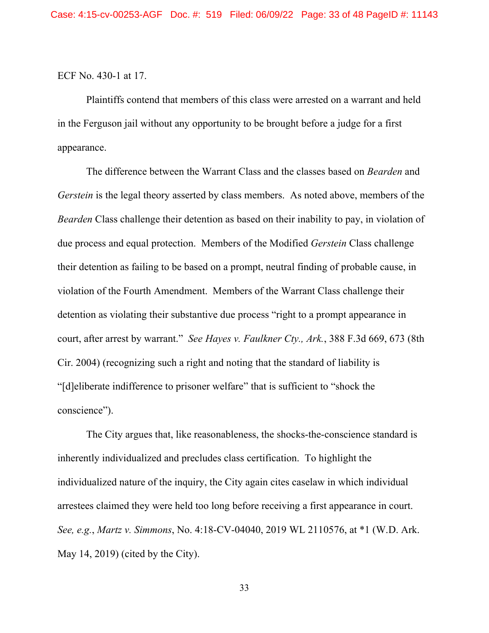#### ECF No. 430-1 at 17.

Plaintiffs contend that members of this class were arrested on a warrant and held in the Ferguson jail without any opportunity to be brought before a judge for a first appearance.

The difference between the Warrant Class and the classes based on *Bearden* and *Gerstein* is the legal theory asserted by class members. As noted above, members of the *Bearden* Class challenge their detention as based on their inability to pay, in violation of due process and equal protection. Members of the Modified *Gerstein* Class challenge their detention as failing to be based on a prompt, neutral finding of probable cause, in violation of the Fourth Amendment. Members of the Warrant Class challenge their detention as violating their substantive due process "right to a prompt appearance in court, after arrest by warrant." *See Hayes v. Faulkner Cty., Ark.*, 388 F.3d 669, 673 (8th Cir. 2004) (recognizing such a right and noting that the standard of liability is "[d]eliberate indifference to prisoner welfare" that is sufficient to "shock the conscience").

The City argues that, like reasonableness, the shocks-the-conscience standard is inherently individualized and precludes class certification. To highlight the individualized nature of the inquiry, the City again cites caselaw in which individual arrestees claimed they were held too long before receiving a first appearance in court. *See, e.g.*, *Martz v. Simmons*, No. 4:18-CV-04040, 2019 WL 2110576, at \*1 (W.D. Ark. May 14, 2019) (cited by the City).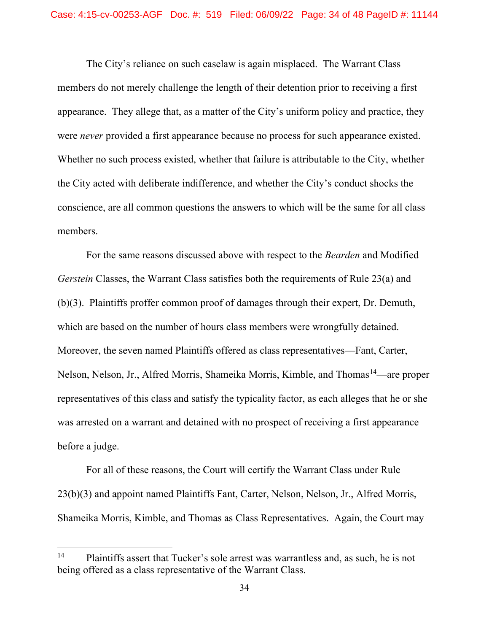The City's reliance on such caselaw is again misplaced. The Warrant Class members do not merely challenge the length of their detention prior to receiving a first appearance. They allege that, as a matter of the City's uniform policy and practice, they were *never* provided a first appearance because no process for such appearance existed. Whether no such process existed, whether that failure is attributable to the City, whether the City acted with deliberate indifference, and whether the City's conduct shocks the conscience, are all common questions the answers to which will be the same for all class members.

For the same reasons discussed above with respect to the *Bearden* and Modified *Gerstein* Classes, the Warrant Class satisfies both the requirements of Rule 23(a) and (b)(3). Plaintiffs proffer common proof of damages through their expert, Dr. Demuth, which are based on the number of hours class members were wrongfully detained. Moreover, the seven named Plaintiffs offered as class representatives—Fant, Carter, Nelson, Nelson, Jr., Alfred Morris, Shameika Morris, Kimble, and Thomas<sup>14</sup>—are proper representatives of this class and satisfy the typicality factor, as each alleges that he or she was arrested on a warrant and detained with no prospect of receiving a first appearance before a judge.

For all of these reasons, the Court will certify the Warrant Class under Rule 23(b)(3) and appoint named Plaintiffs Fant, Carter, Nelson, Nelson, Jr., Alfred Morris, Shameika Morris, Kimble, and Thomas as Class Representatives. Again, the Court may

<span id="page-33-0"></span><sup>&</sup>lt;sup>14</sup> Plaintiffs assert that Tucker's sole arrest was warrantless and, as such, he is not being offered as a class representative of the Warrant Class.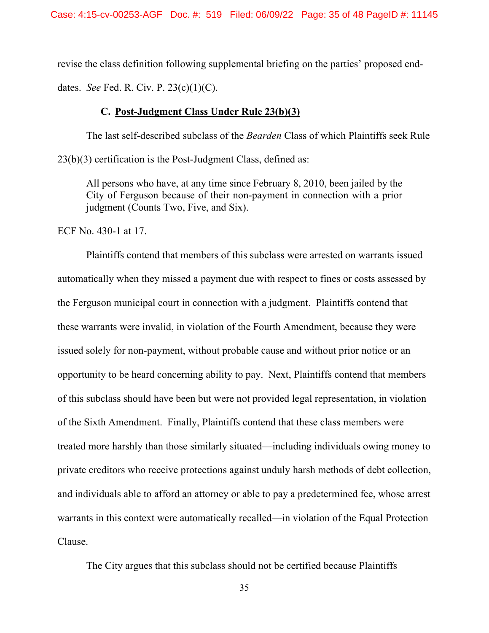revise the class definition following supplemental briefing on the parties' proposed enddates. *See* Fed. R. Civ. P. 23(c)(1)(C).

# **C. Post-Judgment Class Under Rule 23(b)(3)**

The last self-described subclass of the *Bearden* Class of which Plaintiffs seek Rule 23(b)(3) certification is the Post-Judgment Class, defined as:

All persons who have, at any time since February 8, 2010, been jailed by the City of Ferguson because of their non-payment in connection with a prior judgment (Counts Two, Five, and Six).

ECF No. 430-1 at 17.

Plaintiffs contend that members of this subclass were arrested on warrants issued automatically when they missed a payment due with respect to fines or costs assessed by the Ferguson municipal court in connection with a judgment. Plaintiffs contend that these warrants were invalid, in violation of the Fourth Amendment, because they were issued solely for non-payment, without probable cause and without prior notice or an opportunity to be heard concerning ability to pay. Next, Plaintiffs contend that members of this subclass should have been but were not provided legal representation, in violation of the Sixth Amendment. Finally, Plaintiffs contend that these class members were treated more harshly than those similarly situated—including individuals owing money to private creditors who receive protections against unduly harsh methods of debt collection, and individuals able to afford an attorney or able to pay a predetermined fee, whose arrest warrants in this context were automatically recalled—in violation of the Equal Protection Clause.

The City argues that this subclass should not be certified because Plaintiffs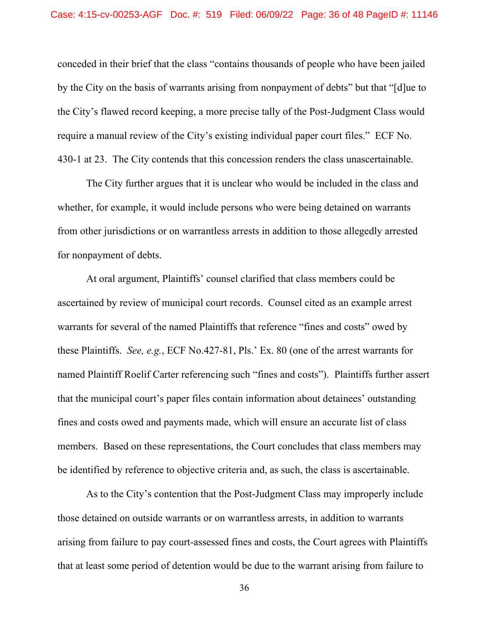conceded in their brief that the class "contains thousands of people who have been jailed by the City on the basis of warrants arising from nonpayment of debts" but that "[d]ue to the City's flawed record keeping, a more precise tally of the Post-Judgment Class would require a manual review of the City's existing individual paper court files." ECF No. 430-1 at 23. The City contends that this concession renders the class unascertainable.

The City further argues that it is unclear who would be included in the class and whether, for example, it would include persons who were being detained on warrants from other jurisdictions or on warrantless arrests in addition to those allegedly arrested for nonpayment of debts.

At oral argument, Plaintiffs' counsel clarified that class members could be ascertained by review of municipal court records. Counsel cited as an example arrest warrants for several of the named Plaintiffs that reference "fines and costs" owed by these Plaintiffs. *See, e.g.*, ECF No.427-81, Pls.' Ex. 80 (one of the arrest warrants for named Plaintiff Roelif Carter referencing such "fines and costs"). Plaintiffs further assert that the municipal court's paper files contain information about detainees' outstanding fines and costs owed and payments made, which will ensure an accurate list of class members. Based on these representations, the Court concludes that class members may be identified by reference to objective criteria and, as such, the class is ascertainable.

As to the City's contention that the Post-Judgment Class may improperly include those detained on outside warrants or on warrantless arrests, in addition to warrants arising from failure to pay court-assessed fines and costs, the Court agrees with Plaintiffs that at least some period of detention would be due to the warrant arising from failure to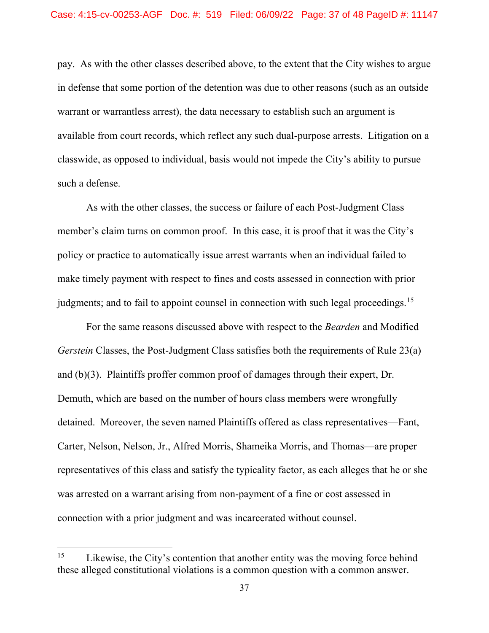pay. As with the other classes described above, to the extent that the City wishes to argue in defense that some portion of the detention was due to other reasons (such as an outside warrant or warrantless arrest), the data necessary to establish such an argument is available from court records, which reflect any such dual-purpose arrests. Litigation on a classwide, as opposed to individual, basis would not impede the City's ability to pursue such a defense.

As with the other classes, the success or failure of each Post-Judgment Class member's claim turns on common proof. In this case, it is proof that it was the City's policy or practice to automatically issue arrest warrants when an individual failed to make timely payment with respect to fines and costs assessed in connection with prior judgments; and to fail to appoint counsel in connection with such legal proceedings.<sup>[15](#page-36-0)</sup>

For the same reasons discussed above with respect to the *Bearden* and Modified *Gerstein* Classes, the Post-Judgment Class satisfies both the requirements of Rule 23(a) and (b)(3). Plaintiffs proffer common proof of damages through their expert, Dr. Demuth, which are based on the number of hours class members were wrongfully detained. Moreover, the seven named Plaintiffs offered as class representatives—Fant, Carter, Nelson, Nelson, Jr., Alfred Morris, Shameika Morris, and Thomas—are proper representatives of this class and satisfy the typicality factor, as each alleges that he or she was arrested on a warrant arising from non-payment of a fine or cost assessed in connection with a prior judgment and was incarcerated without counsel.

<span id="page-36-0"></span><sup>&</sup>lt;sup>15</sup> Likewise, the City's contention that another entity was the moving force behind these alleged constitutional violations is a common question with a common answer.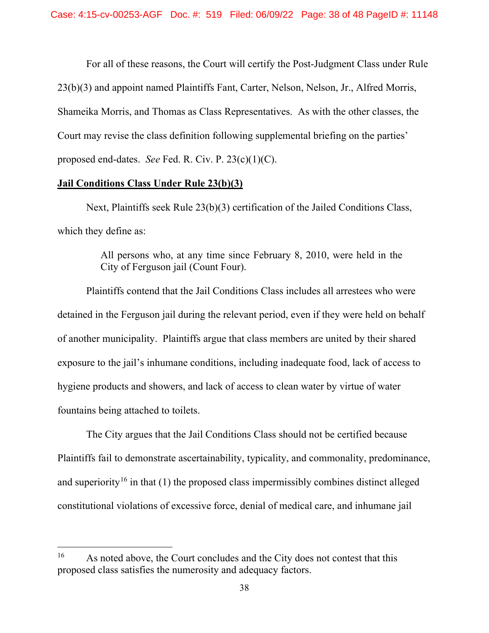For all of these reasons, the Court will certify the Post-Judgment Class under Rule 23(b)(3) and appoint named Plaintiffs Fant, Carter, Nelson, Nelson, Jr., Alfred Morris, Shameika Morris, and Thomas as Class Representatives. As with the other classes, the Court may revise the class definition following supplemental briefing on the parties' proposed end-dates. *See* Fed. R. Civ. P. 23(c)(1)(C).

# **Jail Conditions Class Under Rule 23(b)(3)**

Next, Plaintiffs seek Rule 23(b)(3) certification of the Jailed Conditions Class, which they define as:

> All persons who, at any time since February 8, 2010, were held in the City of Ferguson jail (Count Four).

Plaintiffs contend that the Jail Conditions Class includes all arrestees who were detained in the Ferguson jail during the relevant period, even if they were held on behalf of another municipality. Plaintiffs argue that class members are united by their shared exposure to the jail's inhumane conditions, including inadequate food, lack of access to hygiene products and showers, and lack of access to clean water by virtue of water fountains being attached to toilets.

The City argues that the Jail Conditions Class should not be certified because Plaintiffs fail to demonstrate ascertainability, typicality, and commonality, predominance, and superiority<sup>[16](#page-37-0)</sup> in that (1) the proposed class impermissibly combines distinct alleged constitutional violations of excessive force, denial of medical care, and inhumane jail

<span id="page-37-0"></span><sup>&</sup>lt;sup>16</sup> As noted above, the Court concludes and the City does not contest that this proposed class satisfies the numerosity and adequacy factors.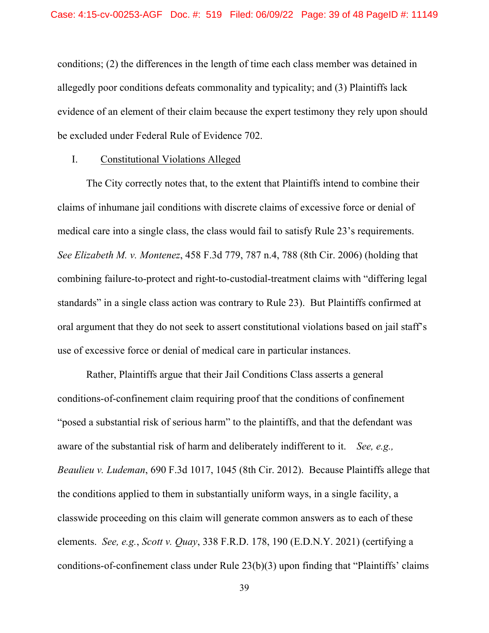conditions; (2) the differences in the length of time each class member was detained in allegedly poor conditions defeats commonality and typicality; and (3) Plaintiffs lack evidence of an element of their claim because the expert testimony they rely upon should be excluded under Federal Rule of Evidence 702.

# I. Constitutional Violations Alleged

The City correctly notes that, to the extent that Plaintiffs intend to combine their claims of inhumane jail conditions with discrete claims of excessive force or denial of medical care into a single class, the class would fail to satisfy Rule 23's requirements. *See Elizabeth M. v. Montenez*, 458 F.3d 779, 787 n.4, 788 (8th Cir. 2006) (holding that combining failure-to-protect and right-to-custodial-treatment claims with "differing legal standards" in a single class action was contrary to Rule 23). But Plaintiffs confirmed at oral argument that they do not seek to assert constitutional violations based on jail staff's use of excessive force or denial of medical care in particular instances.

Rather, Plaintiffs argue that their Jail Conditions Class asserts a general conditions-of-confinement claim requiring proof that the conditions of confinement "posed a substantial risk of serious harm" to the plaintiffs, and that the defendant was aware of the substantial risk of harm and deliberately indifferent to it. *See, e.g., Beaulieu v. Ludeman*, 690 F.3d 1017, 1045 (8th Cir. 2012). Because Plaintiffs allege that the conditions applied to them in substantially uniform ways, in a single facility, a classwide proceeding on this claim will generate common answers as to each of these elements. *See, e.g.*, *Scott v. Quay*, 338 F.R.D. 178, 190 (E.D.N.Y. 2021) (certifying a conditions-of-confinement class under Rule 23(b)(3) upon finding that "Plaintiffs' claims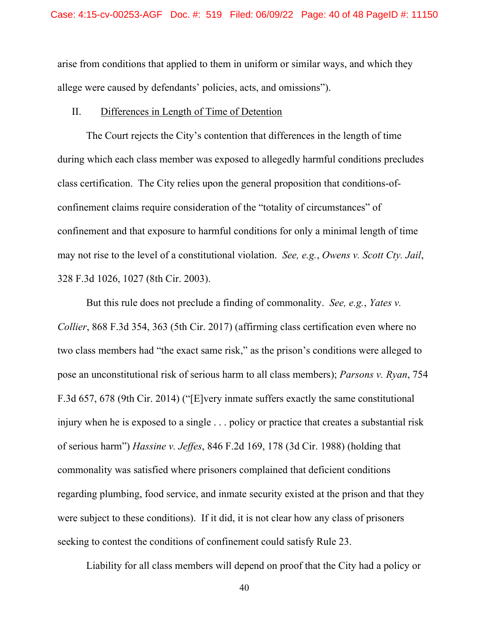arise from conditions that applied to them in uniform or similar ways, and which they allege were caused by defendants' policies, acts, and omissions").

# II. Differences in Length of Time of Detention

The Court rejects the City's contention that differences in the length of time during which each class member was exposed to allegedly harmful conditions precludes class certification. The City relies upon the general proposition that conditions-ofconfinement claims require consideration of the "totality of circumstances" of confinement and that exposure to harmful conditions for only a minimal length of time may not rise to the level of a constitutional violation. *See, e.g.*, *Owens v. Scott Cty. Jail*, 328 F.3d 1026, 1027 (8th Cir. 2003).

But this rule does not preclude a finding of commonality. *See, e.g.*, *Yates v. Collier*, 868 F.3d 354, 363 (5th Cir. 2017) (affirming class certification even where no two class members had "the exact same risk," as the prison's conditions were alleged to pose an unconstitutional risk of serious harm to all class members); *Parsons v. Ryan*, 754 F.3d 657, 678 (9th Cir. 2014) ("[E]very inmate suffers exactly the same constitutional injury when he is exposed to a single . . . policy or practice that creates a substantial risk of serious harm") *Hassine v. Jeffes*, 846 F.2d 169, 178 (3d Cir. 1988) (holding that commonality was satisfied where prisoners complained that deficient conditions regarding plumbing, food service, and inmate security existed at the prison and that they were subject to these conditions).If it did, it is not clear how any class of prisoners seeking to contest the conditions of confinement could satisfy Rule 23.

Liability for all class members will depend on proof that the City had a policy or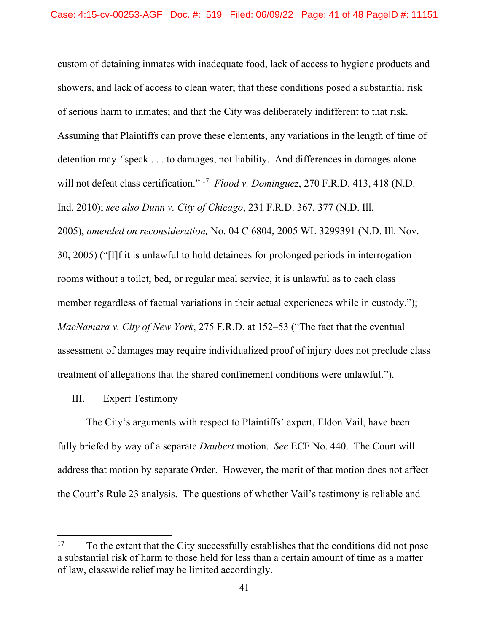custom of detaining inmates with inadequate food, lack of access to hygiene products and showers, and lack of access to clean water; that these conditions posed a substantial risk of serious harm to inmates; and that the City was deliberately indifferent to that risk. Assuming that Plaintiffs can prove these elements, any variations in the length of time of detention may *"*speak . . . to damages, not liability. And differences in damages alone will not defeat class certification." [17](#page-40-0) *Flood v. Dominguez*, 270 F.R.D. 413, 418 (N.D. Ind. 2010); *see also Dunn v. City of Chicago*, 231 F.R.D. 367, 377 (N.D. Ill. 2005), *amended on reconsideration,* No. 04 C 6804, 2005 WL 3299391 (N.D. Ill. Nov. 30, 2005) ("[I]f it is unlawful to hold detainees for prolonged periods in interrogation rooms without a toilet, bed, or regular meal service, it is unlawful as to each class member regardless of factual variations in their actual experiences while in custody."); *MacNamara v. City of New York*, 275 F.R.D. at 152–53 ("The fact that the eventual assessment of damages may require individualized proof of injury does not preclude class

treatment of allegations that the shared confinement conditions were unlawful.").

# III. Expert Testimony

The City's arguments with respect to Plaintiffs' expert, Eldon Vail, have been fully briefed by way of a separate *Daubert* motion. *See* ECF No. 440. The Court will address that motion by separate Order. However, the merit of that motion does not affect the Court's Rule 23 analysis. The questions of whether Vail's testimony is reliable and

<span id="page-40-0"></span><sup>&</sup>lt;sup>17</sup> To the extent that the City successfully establishes that the conditions did not pose a substantial risk of harm to those held for less than a certain amount of time as a matter of law, classwide relief may be limited accordingly.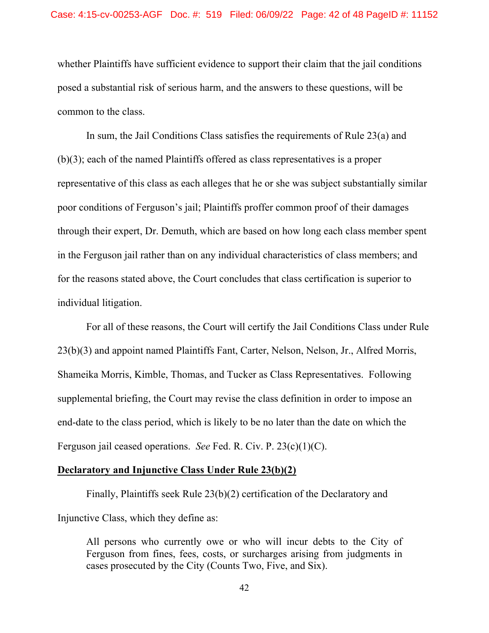whether Plaintiffs have sufficient evidence to support their claim that the jail conditions posed a substantial risk of serious harm, and the answers to these questions, will be common to the class.

In sum, the Jail Conditions Class satisfies the requirements of Rule 23(a) and (b)(3); each of the named Plaintiffs offered as class representatives is a proper representative of this class as each alleges that he or she was subject substantially similar poor conditions of Ferguson's jail; Plaintiffs proffer common proof of their damages through their expert, Dr. Demuth, which are based on how long each class member spent in the Ferguson jail rather than on any individual characteristics of class members; and for the reasons stated above, the Court concludes that class certification is superior to individual litigation.

For all of these reasons, the Court will certify the Jail Conditions Class under Rule 23(b)(3) and appoint named Plaintiffs Fant, Carter, Nelson, Nelson, Jr., Alfred Morris, Shameika Morris, Kimble, Thomas, and Tucker as Class Representatives. Following supplemental briefing, the Court may revise the class definition in order to impose an end-date to the class period, which is likely to be no later than the date on which the Ferguson jail ceased operations. *See* Fed. R. Civ. P. 23(c)(1)(C).

# **Declaratory and Injunctive Class Under Rule 23(b)(2)**

Finally, Plaintiffs seek Rule 23(b)(2) certification of the Declaratory and Injunctive Class, which they define as:

All persons who currently owe or who will incur debts to the City of Ferguson from fines, fees, costs, or surcharges arising from judgments in cases prosecuted by the City (Counts Two, Five, and Six).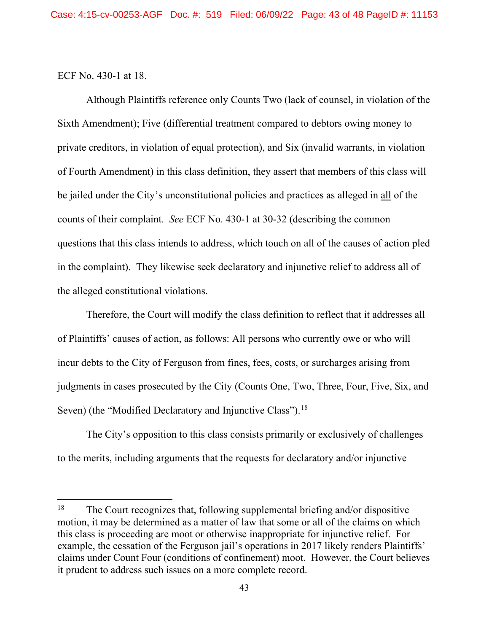ECF No. 430-1 at 18.

Although Plaintiffs reference only Counts Two (lack of counsel, in violation of the Sixth Amendment); Five (differential treatment compared to debtors owing money to private creditors, in violation of equal protection), and Six (invalid warrants, in violation of Fourth Amendment) in this class definition, they assert that members of this class will be jailed under the City's unconstitutional policies and practices as alleged in all of the counts of their complaint. *See* ECF No. 430-1 at 30-32 (describing the common questions that this class intends to address, which touch on all of the causes of action pled in the complaint). They likewise seek declaratory and injunctive relief to address all of the alleged constitutional violations.

Therefore, the Court will modify the class definition to reflect that it addresses all of Plaintiffs' causes of action, as follows: All persons who currently owe or who will incur debts to the City of Ferguson from fines, fees, costs, or surcharges arising from judgments in cases prosecuted by the City (Counts One, Two, Three, Four, Five, Six, and Seven) (the "Modified Declaratory and Injunctive Class").<sup>18</sup>

The City's opposition to this class consists primarily or exclusively of challenges to the merits, including arguments that the requests for declaratory and/or injunctive

<span id="page-42-0"></span><sup>&</sup>lt;sup>18</sup> The Court recognizes that, following supplemental briefing and/or dispositive motion, it may be determined as a matter of law that some or all of the claims on which this class is proceeding are moot or otherwise inappropriate for injunctive relief. For example, the cessation of the Ferguson jail's operations in 2017 likely renders Plaintiffs' claims under Count Four (conditions of confinement) moot. However, the Court believes it prudent to address such issues on a more complete record.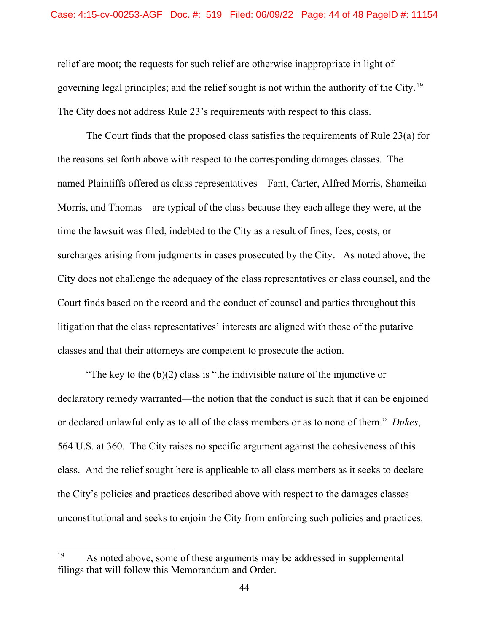relief are moot; the requests for such relief are otherwise inappropriate in light of governing legal principles; and the relief sought is not within the authority of the City.<sup>[19](#page-43-0)</sup> The City does not address Rule 23's requirements with respect to this class.

The Court finds that the proposed class satisfies the requirements of Rule 23(a) for the reasons set forth above with respect to the corresponding damages classes. The named Plaintiffs offered as class representatives—Fant, Carter, Alfred Morris, Shameika Morris, and Thomas—are typical of the class because they each allege they were, at the time the lawsuit was filed, indebted to the City as a result of fines, fees, costs, or surcharges arising from judgments in cases prosecuted by the City. As noted above, the City does not challenge the adequacy of the class representatives or class counsel, and the Court finds based on the record and the conduct of counsel and parties throughout this litigation that the class representatives' interests are aligned with those of the putative classes and that their attorneys are competent to prosecute the action.

"The key to the (b)(2) class is "the indivisible nature of the injunctive or declaratory remedy warranted—the notion that the conduct is such that it can be enjoined or declared unlawful only as to all of the class members or as to none of them." *Dukes*, 564 U.S. at 360. The City raises no specific argument against the cohesiveness of this class. And the relief sought here is applicable to all class members as it seeks to declare the City's policies and practices described above with respect to the damages classes unconstitutional and seeks to enjoin the City from enforcing such policies and practices.

<span id="page-43-0"></span><sup>&</sup>lt;sup>19</sup> As noted above, some of these arguments may be addressed in supplemental filings that will follow this Memorandum and Order.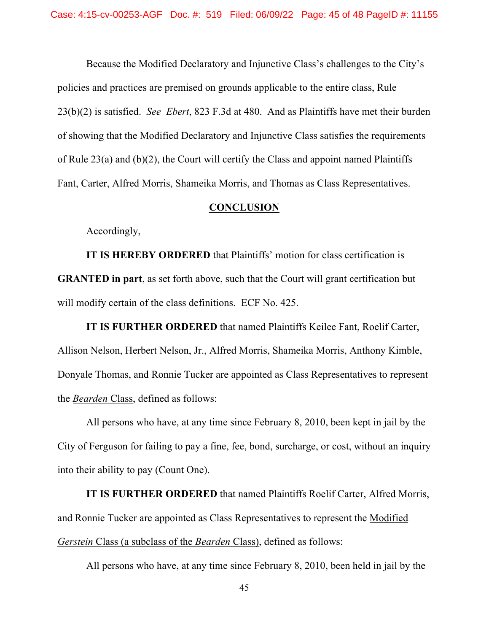Because the Modified Declaratory and Injunctive Class's challenges to the City's policies and practices are premised on grounds applicable to the entire class, Rule 23(b)(2) is satisfied. *See Ebert*, 823 F.3d at 480. And as Plaintiffs have met their burden of showing that the Modified Declaratory and Injunctive Class satisfies the requirements of Rule 23(a) and (b)(2), the Court will certify the Class and appoint named Plaintiffs Fant, Carter, Alfred Morris, Shameika Morris, and Thomas as Class Representatives.

#### **CONCLUSION**

Accordingly,

**IT IS HEREBY ORDERED** that Plaintiffs' motion for class certification is **GRANTED in part**, as set forth above, such that the Court will grant certification but will modify certain of the class definitions. ECF No. 425.

**IT IS FURTHER ORDERED** that named Plaintiffs Keilee Fant, Roelif Carter, Allison Nelson, Herbert Nelson, Jr., Alfred Morris, Shameika Morris, Anthony Kimble, Donyale Thomas, and Ronnie Tucker are appointed as Class Representatives to represent the *Bearden* Class, defined as follows:

All persons who have, at any time since February 8, 2010, been kept in jail by the City of Ferguson for failing to pay a fine, fee, bond, surcharge, or cost, without an inquiry into their ability to pay (Count One).

**IT IS FURTHER ORDERED** that named Plaintiffs Roelif Carter, Alfred Morris, and Ronnie Tucker are appointed as Class Representatives to represent the Modified *Gerstein* Class (a subclass of the *Bearden* Class), defined as follows:

All persons who have, at any time since February 8, 2010, been held in jail by the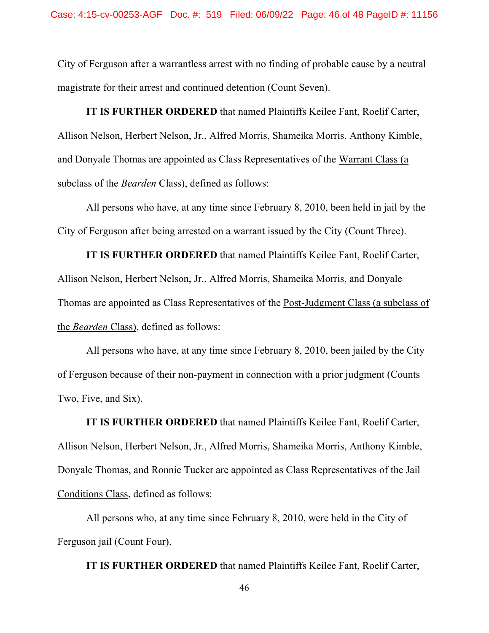City of Ferguson after a warrantless arrest with no finding of probable cause by a neutral magistrate for their arrest and continued detention (Count Seven).

**IT IS FURTHER ORDERED** that named Plaintiffs Keilee Fant, Roelif Carter, Allison Nelson, Herbert Nelson, Jr., Alfred Morris, Shameika Morris, Anthony Kimble, and Donyale Thomas are appointed as Class Representatives of the Warrant Class (a subclass of the *Bearden* Class), defined as follows:

All persons who have, at any time since February 8, 2010, been held in jail by the City of Ferguson after being arrested on a warrant issued by the City (Count Three).

**IT IS FURTHER ORDERED** that named Plaintiffs Keilee Fant, Roelif Carter, Allison Nelson, Herbert Nelson, Jr., Alfred Morris, Shameika Morris, and Donyale Thomas are appointed as Class Representatives of the Post-Judgment Class (a subclass of the *Bearden* Class), defined as follows:

All persons who have, at any time since February 8, 2010, been jailed by the City of Ferguson because of their non-payment in connection with a prior judgment (Counts Two, Five, and Six).

**IT IS FURTHER ORDERED** that named Plaintiffs Keilee Fant, Roelif Carter, Allison Nelson, Herbert Nelson, Jr., Alfred Morris, Shameika Morris, Anthony Kimble, Donyale Thomas, and Ronnie Tucker are appointed as Class Representatives of the Jail Conditions Class, defined as follows:

All persons who, at any time since February 8, 2010, were held in the City of Ferguson jail (Count Four).

**IT IS FURTHER ORDERED** that named Plaintiffs Keilee Fant, Roelif Carter,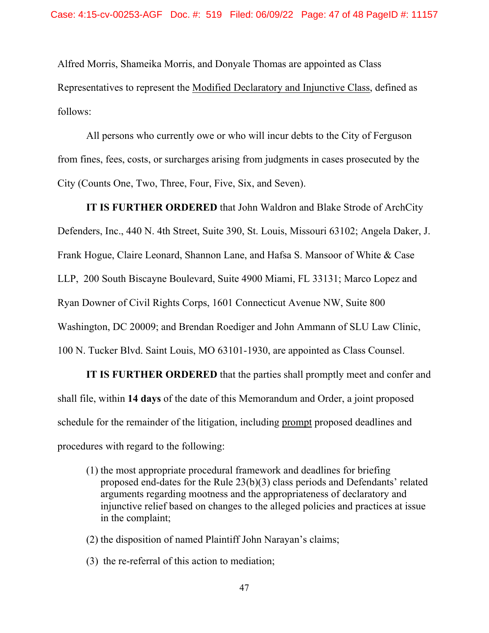Alfred Morris, Shameika Morris, and Donyale Thomas are appointed as Class Representatives to represent the Modified Declaratory and Injunctive Class, defined as follows:

All persons who currently owe or who will incur debts to the City of Ferguson from fines, fees, costs, or surcharges arising from judgments in cases prosecuted by the City (Counts One, Two, Three, Four, Five, Six, and Seven).

**IT IS FURTHER ORDERED** that John Waldron and Blake Strode of ArchCity Defenders, Inc., 440 N. 4th Street, Suite 390, St. Louis, Missouri 63102; Angela Daker, J. Frank Hogue, Claire Leonard, Shannon Lane, and Hafsa S. Mansoor of White & Case LLP, 200 South Biscayne Boulevard, Suite 4900 Miami, FL 33131; Marco Lopez and Ryan Downer of Civil Rights Corps, 1601 Connecticut Avenue NW, Suite 800 Washington, DC 20009; and Brendan Roediger and John Ammann of SLU Law Clinic, 100 N. Tucker Blvd. Saint Louis, MO 63101-1930, are appointed as Class Counsel.

**IT IS FURTHER ORDERED** that the parties shall promptly meet and confer and shall file, within **14 days** of the date of this Memorandum and Order, a joint proposed schedule for the remainder of the litigation, including prompt proposed deadlines and procedures with regard to the following:

- (1) the most appropriate procedural framework and deadlines for briefing proposed end-dates for the Rule 23(b)(3) class periods and Defendants' related arguments regarding mootness and the appropriateness of declaratory and injunctive relief based on changes to the alleged policies and practices at issue in the complaint;
- (2) the disposition of named Plaintiff John Narayan's claims;
- (3) the re-referral of this action to mediation;